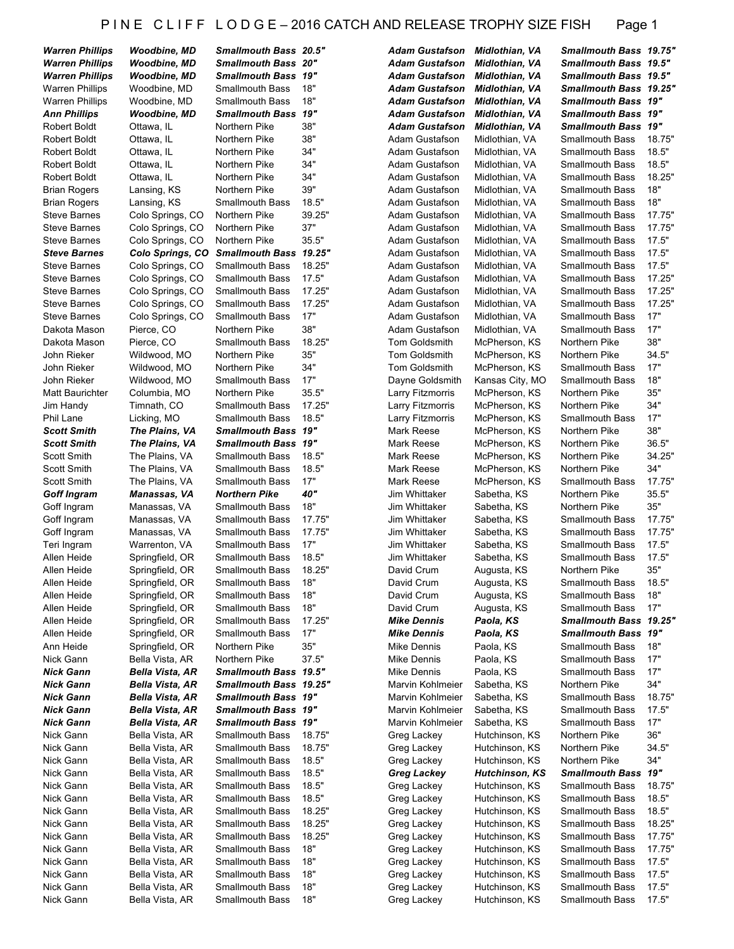#### P IN E CLIFF LODGE-2016 CATCH AND RELEASE TROPHY SIZE FISH Page 1

| <b>Warren Phillips</b> |
|------------------------|
|                        |
| <b>Warren Phillips</b> |
| <b>Warren Phillips</b> |
| <b>Warren Phillips</b> |
| <b>Warren Phillips</b> |
| <b>Ann Phillips</b>    |
| <b>Robert Boldt</b>    |
| <b>Robert Boldt</b>    |
| Robert Boldt           |
| Robert Boldt           |
| <b>Robert Boldt</b>    |
|                        |
| <b>Brian Rogers</b>    |
| <b>Brian Rogers</b>    |
| Steve Barnes           |
| <b>Steve Barnes</b>    |
| Steve Barnes           |
| <b>Steve Barnes</b>    |
| Steve Barnes           |
| Steve Barnes           |
| Steve Barnes           |
| <b>Steve Barnes</b>    |
|                        |
| Steve Barnes           |
| Dakota Mason           |
| Dakota Mason           |
| John Rieker            |
| John Rieker            |
| John Rieker            |
| Matt Baurichter        |
| Jim Handy              |
| Phil Lane              |
|                        |
| Scott Smith            |
| <b>Scott Smith</b>     |
| Scott Smith            |
| Scott Smith            |
| Scott Smith            |
| <b>Goff Ingram</b>     |
| Goff Ingram            |
| Goff Ingram            |
| Goff Ingram            |
| Teri Ingram            |
|                        |
| Allen Heide            |
| Allen Heide            |
| Allen Heide            |
| Allen Heide            |
| Allen Heide            |
| Allen Heide            |
| Allen Heide            |
| Ann Heide              |
| Nick Gann              |
|                        |
| Nick Gann              |
| <b>Nick Gann</b>       |
| Nick Gann              |
| Nick Gann              |
| <b>Nick Gann</b>       |
| Nick Gann              |
| Nick Gann              |
| Nick Gann              |
| Nick Gann              |
| Nick Gann              |
|                        |
| Nick Gann              |
| Nick Gann              |
| Nick Gann              |
| Nick Gann              |
| Nick<br>Gann           |
| Nick Gann              |
| Nick Gann              |
| Nick Gann              |
|                        |

| <b>Warren Phillips</b> | <b>Woodbine, MD</b> | Smallmouth Bass 20.5"                         |        | <b>Adam Gustafson</b>                | Midlothian, VA        | <b>Smallmouth Bass 19.</b>                       |            |
|------------------------|---------------------|-----------------------------------------------|--------|--------------------------------------|-----------------------|--------------------------------------------------|------------|
| <b>Warren Phillips</b> | Woodbine, MD        | <b>Smallmouth Bass 20"</b>                    |        | <b>Adam Gustafson</b>                | Midlothian, VA        | <b>Smallmouth Bass 19.</b>                       |            |
| <b>Warren Phillips</b> | Woodbine, MD        | <b>Smallmouth Bass 19"</b>                    |        | <b>Adam Gustafson</b>                | Midlothian, VA        | <b>Smallmouth Bass 19.</b>                       |            |
| Warren Phillips        | Woodbine, MD        | <b>Smallmouth Bass</b>                        | 18"    | <b>Adam Gustafson</b>                | Midlothian, VA        | <b>Smallmouth Bass 19.</b>                       |            |
| <b>Warren Phillips</b> | Woodbine, MD        | <b>Smallmouth Bass</b>                        | 18"    | <b>Adam Gustafson</b>                | Midlothian, VA        | <b>Smallmouth Bass 19'</b>                       |            |
| Ann Phillips           | Woodbine, MD        | <b>Smallmouth Bass</b>                        | 19"    | <b>Adam Gustafson</b>                | Midlothian, VA        | <b>Smallmouth Bass 19'</b>                       |            |
| Robert Boldt           | Ottawa, IL          | Northern Pike                                 | 38"    | <b>Adam Gustafson</b>                | <b>Midlothian, VA</b> | <b>Smallmouth Bass 19'</b>                       |            |
| Robert Boldt           | Ottawa, IL          | Northern Pike                                 | 38"    | Adam Gustafson                       | Midlothian, VA        | <b>Smallmouth Bass</b>                           | 18.        |
| Robert Boldt           | Ottawa, IL          | Northern Pike                                 | 34"    | Adam Gustafson                       | Midlothian, VA        | <b>Smallmouth Bass</b>                           | 18.        |
| Robert Boldt           | Ottawa, IL          | Northern Pike                                 | 34"    | Adam Gustafson                       | Midlothian, VA        | <b>Smallmouth Bass</b>                           | 18.        |
| Robert Boldt           | Ottawa, IL          | Northern Pike                                 | 34"    | Adam Gustafson                       | Midlothian, VA        | <b>Smallmouth Bass</b>                           | 18.        |
| Brian Rogers           | Lansing, KS         | Northern Pike                                 | 39"    | Adam Gustafson                       | Midlothian, VA        | <b>Smallmouth Bass</b>                           | 18"        |
| Brian Rogers           | Lansing, KS         | <b>Smallmouth Bass</b>                        | 18.5"  | Adam Gustafson                       | Midlothian, VA        | <b>Smallmouth Bass</b>                           | 18"        |
| Steve Barnes           | Colo Springs, CO    | Northern Pike                                 | 39.25" | Adam Gustafson                       | Midlothian, VA        | <b>Smallmouth Bass</b>                           | 17.        |
| Steve Barnes           | Colo Springs, CO    | Northern Pike                                 | 37"    | Adam Gustafson                       | Midlothian, VA        | <b>Smallmouth Bass</b>                           | 17.        |
| Steve Barnes           | Colo Springs, CO    | Northern Pike                                 | 35.5"  | Adam Gustafson                       | Midlothian, VA        | <b>Smallmouth Bass</b>                           | 17.        |
| Steve Barnes           | Colo Springs, CO    | <b>Smallmouth Bass</b>                        | 19.25" | Adam Gustafson                       | Midlothian, VA        | <b>Smallmouth Bass</b>                           | 17.        |
| Steve Barnes           | Colo Springs, CO    | <b>Smallmouth Bass</b>                        | 18.25" | Adam Gustafson                       | Midlothian, VA        | <b>Smallmouth Bass</b>                           | 17.        |
| Steve Barnes           | Colo Springs, CO    | <b>Smallmouth Bass</b>                        | 17.5"  | Adam Gustafson                       | Midlothian, VA        | <b>Smallmouth Bass</b>                           | 17.        |
| Steve Barnes           | Colo Springs, CO    | <b>Smallmouth Bass</b>                        | 17.25" | Adam Gustafson                       | Midlothian, VA        | <b>Smallmouth Bass</b>                           | 17.        |
| Steve Barnes           | Colo Springs, CO    | <b>Smallmouth Bass</b>                        | 17.25" | Adam Gustafson                       | Midlothian, VA        | <b>Smallmouth Bass</b>                           | 17.        |
| Steve Barnes           | Colo Springs, CO    | <b>Smallmouth Bass</b>                        | 17"    | Adam Gustafson                       | Midlothian, VA        | <b>Smallmouth Bass</b>                           | 17"        |
| Dakota Mason           | Pierce, CO          | Northern Pike                                 | 38"    | Adam Gustafson                       | Midlothian, VA        | <b>Smallmouth Bass</b>                           | 17"        |
| Dakota Mason           | Pierce, CO          | <b>Smallmouth Bass</b>                        | 18.25" | <b>Tom Goldsmith</b>                 | McPherson, KS         | Northern Pike                                    | 38"        |
| John Rieker            | Wildwood, MO        | Northern Pike                                 | 35"    | <b>Tom Goldsmith</b>                 | McPherson, KS         | Northern Pike                                    | 34.        |
| John Rieker            | Wildwood, MO        | Northern Pike                                 | 34"    | Tom Goldsmith                        | McPherson, KS         | <b>Smallmouth Bass</b>                           | 17"        |
| John Rieker            | Wildwood, MO        | <b>Smallmouth Bass</b>                        | 17"    | Dayne Goldsmith                      | Kansas City, MO       | <b>Smallmouth Bass</b>                           | 18"        |
| Matt Baurichter        | Columbia, MO        | Northern Pike                                 | 35.5"  | Larry Fitzmorris                     | McPherson, KS         | Northern Pike                                    | 35"        |
| Jim Handy              | Timnath, CO         | <b>Smallmouth Bass</b>                        | 17.25" | Larry Fitzmorris                     | McPherson, KS         | Northern Pike                                    | 34"        |
| Phil Lane              | Licking, MO         | <b>Smallmouth Bass</b>                        | 18.5"  | Larry Fitzmorris                     | McPherson, KS         | <b>Smallmouth Bass</b>                           | 17"        |
| <b>Scott Smith</b>     | The Plains, VA      | Smallmouth Bass 19"                           |        | Mark Reese                           | McPherson, KS         | Northern Pike                                    | 38"        |
| <b>Scott Smith</b>     | The Plains, VA      | Smallmouth Bass 19"                           |        | Mark Reese                           | McPherson, KS         | Northern Pike                                    | 36.        |
| Scott Smith            | The Plains, VA      | <b>Smallmouth Bass</b>                        | 18.5"  | Mark Reese                           | McPherson, KS         | Northern Pike                                    | 34.        |
| Scott Smith            | The Plains, VA      | <b>Smallmouth Bass</b>                        | 18.5"  | Mark Reese                           | McPherson, KS         | Northern Pike                                    | 34"        |
| Scott Smith            | The Plains, VA      | <b>Smallmouth Bass</b>                        | 17"    | Mark Reese                           | McPherson, KS         | <b>Smallmouth Bass</b>                           | 17.        |
| <b>Goff Ingram</b>     | Manassas, VA        | <b>Northern Pike</b>                          | 40"    | Jim Whittaker                        | Sabetha, KS           | Northern Pike                                    | 35.        |
| Goff Ingram            | Manassas, VA        | <b>Smallmouth Bass</b>                        | 18"    | Jim Whittaker                        | Sabetha, KS           | Northern Pike                                    | 35"        |
| Goff Ingram            | Manassas, VA        | <b>Smallmouth Bass</b>                        | 17.75" | Jim Whittaker                        | Sabetha, KS           | <b>Smallmouth Bass</b>                           | 17.        |
| Goff Ingram            | Manassas, VA        | <b>Smallmouth Bass</b>                        | 17.75" | Jim Whittaker                        | Sabetha, KS           | <b>Smallmouth Bass</b>                           | 17.        |
| Teri Ingram            | Warrenton, VA       | <b>Smallmouth Bass</b>                        | 17"    | Jim Whittaker                        | Sabetha, KS           | <b>Smallmouth Bass</b>                           | 17.        |
| Allen Heide            | Springfield, OR     | <b>Smallmouth Bass</b>                        | 18.5"  | Jim Whittaker                        | Sabetha, KS           | <b>Smallmouth Bass</b>                           | 17.        |
| Allen Heide            | Springfield, OR     | <b>Smallmouth Bass</b>                        | 18.25" | David Crum                           | Augusta, KS           | Northern Pike                                    | 35"        |
| Allen Heide            | Springfield, OR     | Smallmouth Bass                               | 18"    | David Crum                           | Augusta, KS           | Smallmouth Bass                                  | 18.        |
| Allen Heide            | Springfield, OR     | <b>Smallmouth Bass</b>                        | 18"    | David Crum                           | Augusta, KS           | <b>Smallmouth Bass</b>                           | 18"        |
| Allen Heide            | Springfield, OR     | <b>Smallmouth Bass</b>                        | 18"    | David Crum                           | Augusta, KS           | <b>Smallmouth Bass</b>                           | 17"        |
| Allen Heide            | Springfield, OR     | <b>Smallmouth Bass</b>                        | 17.25" | <b>Mike Dennis</b>                   | Paola, KS             | <b>Smallmouth Bass 19.</b>                       |            |
| Allen Heide            | Springfield, OR     | <b>Smallmouth Bass</b>                        | 17"    | <b>Mike Dennis</b>                   | Paola, KS             | <b>Smallmouth Bass 19'</b>                       |            |
| Ann Heide              | Springfield, OR     | Northern Pike                                 | 35"    | Mike Dennis                          | Paola, KS             | <b>Smallmouth Bass</b>                           | 18"        |
| Nick Gann              | Bella Vista, AR     | Northern Pike                                 | 37.5"  | Mike Dennis                          | Paola, KS             | <b>Smallmouth Bass</b>                           | 17"        |
| Nick Gann              | Bella Vista, AR     | Smallmouth Bass 19.5"                         |        | Mike Dennis                          | Paola, KS             | <b>Smallmouth Bass</b>                           | 17"        |
|                        |                     |                                               |        |                                      |                       |                                                  | 34"        |
| Nick Gann              | Bella Vista, AR     | Smallmouth Bass 19.25"<br>Smallmouth Bass 19" |        | Marvin Kohlmeier                     | Sabetha, KS           | Northern Pike                                    |            |
| Nick Gann              | Bella Vista, AR     | Smallmouth Bass 19"                           |        | Marvin Kohlmeier<br>Marvin Kohlmeier | Sabetha, KS           | <b>Smallmouth Bass</b><br><b>Smallmouth Bass</b> | 18.        |
| Nick Gann              | Bella Vista, AR     | Smallmouth Bass 19"                           |        |                                      | Sabetha, KS           |                                                  | 17.<br>17" |
| Nick Gann              | Bella Vista, AR     |                                               |        | Marvin Kohlmeier                     | Sabetha, KS           | <b>Smallmouth Bass</b><br>Northern Pike          | 36"        |
| Nick Gann              | Bella Vista, AR     | <b>Smallmouth Bass</b>                        | 18.75" | Greg Lackey                          | Hutchinson, KS        |                                                  |            |
| Nick Gann              | Bella Vista, AR     | <b>Smallmouth Bass</b>                        | 18.75" | Greg Lackey                          | Hutchinson, KS        | Northern Pike                                    | 34.        |
| Nick Gann              | Bella Vista, AR     | <b>Smallmouth Bass</b>                        | 18.5"  | Greg Lackey                          | Hutchinson, KS        | Northern Pike                                    | 34"        |
| Nick Gann              | Bella Vista, AR     | <b>Smallmouth Bass</b>                        | 18.5"  | <b>Greg Lackey</b>                   | <b>Hutchinson, KS</b> | <b>Smallmouth Bass 19'</b>                       |            |
| Nick Gann              | Bella Vista, AR     | <b>Smallmouth Bass</b>                        | 18.5"  | Greg Lackey                          | Hutchinson, KS        | <b>Smallmouth Bass</b>                           | 18.        |
| Nick Gann              | Bella Vista, AR     | <b>Smallmouth Bass</b>                        | 18.5"  | Greg Lackey                          | Hutchinson, KS        | <b>Smallmouth Bass</b>                           | 18.        |
| Nick Gann              | Bella Vista, AR     | <b>Smallmouth Bass</b>                        | 18.25" | Greg Lackey                          | Hutchinson, KS        | <b>Smallmouth Bass</b>                           | 18.        |
| Nick Gann              | Bella Vista, AR     | <b>Smallmouth Bass</b>                        | 18.25" | Greg Lackey                          | Hutchinson, KS        | <b>Smallmouth Bass</b>                           | 18.        |
| Nick Gann              | Bella Vista, AR     | <b>Smallmouth Bass</b>                        | 18.25" | Greg Lackey                          | Hutchinson, KS        | <b>Smallmouth Bass</b>                           | 17.        |
| Nick Gann              | Bella Vista, AR     | <b>Smallmouth Bass</b>                        | 18"    | Greg Lackey                          | Hutchinson, KS        | <b>Smallmouth Bass</b>                           | 17.        |
| Nick Gann              | Bella Vista, AR     | <b>Smallmouth Bass</b>                        | 18"    | Greg Lackey                          | Hutchinson, KS        | <b>Smallmouth Bass</b>                           | 17.        |
| Nick Gann              | Bella Vista, AR     | <b>Smallmouth Bass</b>                        | 18"    | Greg Lackey                          | Hutchinson, KS        | <b>Smallmouth Bass</b>                           | 17.        |
| Nick Gann              | Bella Vista, AR     | <b>Smallmouth Bass</b>                        | 18"    | Greg Lackey                          | Hutchinson, KS        | <b>Smallmouth Bass</b>                           | 17.        |
|                        |                     |                                               |        |                                      |                       |                                                  |            |

| lmouth Bass 20.5"                        |                |
|------------------------------------------|----------------|
| <b>Imouth Bass 20"</b>                   |                |
| Imouth Bass                              | 19"<br>18"     |
| lmouth Bass                              |                |
| lmouth Bass                              | 18"<br>19"     |
| Imouth Bass                              | 38"            |
| ern Pike<br>ern Pike                     | 38"            |
| ern Pike                                 | 34"            |
| ern Pike                                 | 34"            |
| ern Pike                                 | 34"            |
| ern Pike                                 | 39"            |
| lmouth Bass                              | 18.5"          |
| ern Pike                                 | 39.25"         |
| ern Pike                                 | 37"            |
| ern Pike                                 | 35.5"          |
| Imouth Bass 19.25"                       |                |
| lmouth Bass                              | 18.25"         |
| lmouth Bass                              | 17.5"          |
| lmouth Bass                              | 17.25"         |
| <b>mouth Bass</b>                        | 17.25"         |
| lmouth Bass                              | 17"            |
| ern Pike                                 | 38"            |
| lmouth Bass                              | 18.25"         |
| ern Pike                                 | 35"            |
| ern Pike                                 | 34"            |
| lmouth Bass                              | 17"            |
| ern Pike                                 | 35.5"          |
| lmouth Bass                              | 17.25"         |
| <b>mouth Bass</b>                        | 18.5"          |
| Imouth Bass                              | 19"            |
| Imouth Bass                              | 19"            |
| lmouth Bass                              | 18.5"<br>18.5" |
| lmouth Bass<br>lmouth Bass               | 17"            |
| hern Pike                                | 40"            |
| <b>mouth Bass</b>                        | 18"            |
| <b>mouth Bass</b>                        | 17.75"         |
| lmouth Bass                              | 17.75"         |
| lmouth Bass                              | 17"            |
| <b>mouth Bass</b>                        | 18.5"          |
| lmouth Bass                              | 18.25"         |
| lmouth Bass                              | 18"            |
| <b>Imouth Bass</b>                       | 18"            |
| <b>mouth Bass</b>                        | 18"            |
| <b>mouth Bass</b>                        | 17.25"         |
| lmouth Bass                              | 17"            |
| ern Pike                                 | 35"            |
| ern Pike                                 | 37.5"          |
| <b>Imouth Bass</b>                       | 19.5"          |
| <b>Imouth Bass</b>                       | 19.25"         |
| Imouth Bass                              | 19"            |
| <b>Imouth Bass</b><br><b>Imouth Bass</b> | 19"<br>19"     |
| <b>mouth Bass</b>                        | 18.75"         |
| lmouth Bass                              | 18.75"         |
| lmouth Bass                              | 18.5"          |
| <b>Imouth Bass</b>                       | 18.5"          |
| lmouth Bass                              | 18.5"          |
| lmouth Bass                              | 18.5"          |
| lmouth Bass                              | 18.25"         |
| <b>mouth Bass</b>                        | 18.25"         |
| <b>mouth Bass</b>                        | 18.25"         |
| <b>mouth Bass</b>                        | 18"            |
| lmouth Bass                              | 18"            |
| <b>mouth Bass</b>                        | 18"            |
| <b>Imouth Bass</b>                       | 18"            |

| <b>\dam Gustafson</b>      |
|----------------------------|
| dam Gustafson              |
| <b>Idam Gustafson</b>      |
| dam Gustafson              |
| dam Gustafson              |
| <b>Adam Gustafson</b>      |
| <b>Idam Gustafson</b>      |
| dam Gustafson              |
| dam Gustafson              |
| dam Gustafson              |
| dam Gustafson              |
| dam Gustafson              |
| dam Gustafson              |
| dam Gustafson              |
| <b>dam Gustafson</b>       |
| dam Gustafson              |
| dam Gustafson              |
| dam Gustafson              |
| dam Gustafson              |
| dam Gustafson              |
| dam Gustafson              |
|                            |
| dam Gustafson              |
| <b>dam Gustafson</b>       |
| om Goldsmith               |
| om Goldsmith               |
| om Goldsmith               |
| <b>Jayne Goldsmith</b>     |
| arry Fitzmorris            |
| arry Fitzmorris            |
| arry Fitzmorris            |
| <b>Mark Reese</b>          |
| Mark Reese                 |
| lark Reese                 |
| <b>Mark Reese</b>          |
| <b>Mark Reese</b>          |
| im Whittaker               |
| im Whittaker               |
| im Whittaker               |
| im Whittaker               |
| im Whittaker               |
| im Whittaker               |
| avid Crum                  |
| avid Crum                  |
| )avid Crum                 |
| avid Crum                  |
| like Dennis                |
| like Dennis                |
| like Dennis                |
|                            |
| like Dennis<br>like Dennis |
|                            |
| Aarvin Kohlmeier           |
| <i>M</i> arvin Kohlmeier   |
| Marvin Kohlmeier           |
| Aarvin Kohlmeier           |
| Greg Lackey                |
| Greg Lackey                |
| <b>Greg Lackey</b>         |
| Greg Lackey                |
| <b>Greg Lackey</b>         |
| Greg Lackey                |
| Greg Lackey                |
| Lackey<br>areg             |
| Lackey<br>areg             |
| .<br>Greg<br>Lackey        |
| areg<br>Lackey             |
| <b>Greg</b><br>Lackey      |
| Greg Lackey                |
|                            |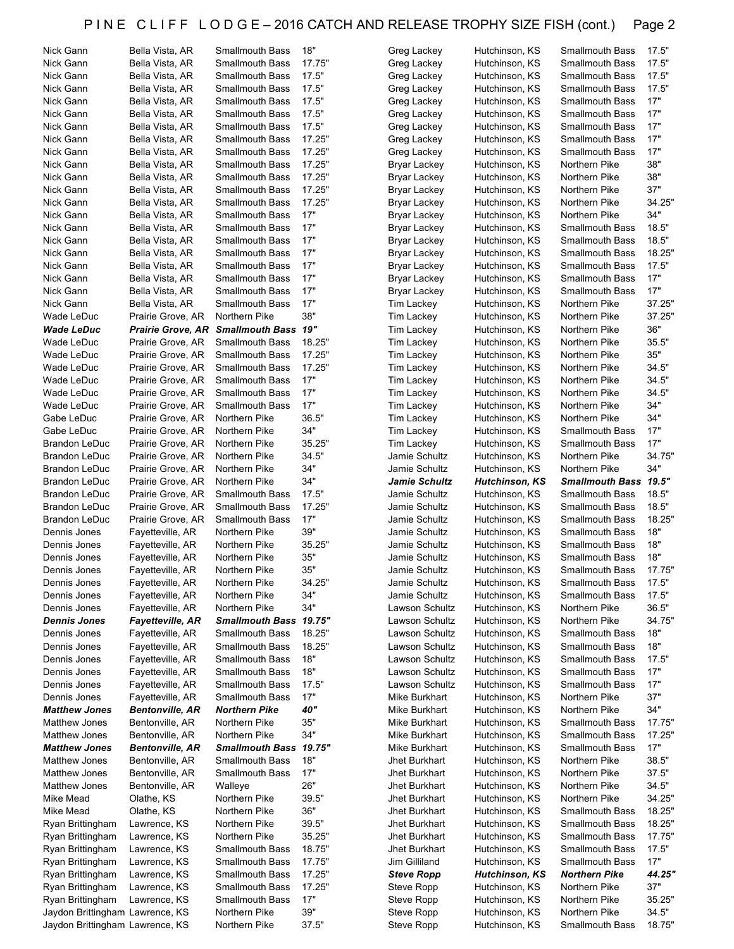| Bella Vista, AR                                                    | Smallmouth Bass                                                                                                                                                                                                                                                                                                                                                                                                                                                                                                    | 18"                                                                                                                                                                                                                                                                                                                                                                                                                                                                                                                                                                                             | Greg Lackey                                                                                                                                                                                                                                      | Hutchinson, KS                                                                                                                                                                                                                                                                                                                                                                                                                                     | Smallmouth Bass                                                                                                                                                                                                                                                                                                                                                                                                                                                | 17.5"                                                                                                                                                                                                                                                                                                                                                                                                                                                                                                                                             |
|--------------------------------------------------------------------|--------------------------------------------------------------------------------------------------------------------------------------------------------------------------------------------------------------------------------------------------------------------------------------------------------------------------------------------------------------------------------------------------------------------------------------------------------------------------------------------------------------------|-------------------------------------------------------------------------------------------------------------------------------------------------------------------------------------------------------------------------------------------------------------------------------------------------------------------------------------------------------------------------------------------------------------------------------------------------------------------------------------------------------------------------------------------------------------------------------------------------|--------------------------------------------------------------------------------------------------------------------------------------------------------------------------------------------------------------------------------------------------|----------------------------------------------------------------------------------------------------------------------------------------------------------------------------------------------------------------------------------------------------------------------------------------------------------------------------------------------------------------------------------------------------------------------------------------------------|----------------------------------------------------------------------------------------------------------------------------------------------------------------------------------------------------------------------------------------------------------------------------------------------------------------------------------------------------------------------------------------------------------------------------------------------------------------|---------------------------------------------------------------------------------------------------------------------------------------------------------------------------------------------------------------------------------------------------------------------------------------------------------------------------------------------------------------------------------------------------------------------------------------------------------------------------------------------------------------------------------------------------|
| Bella Vista, AR                                                    | <b>Smallmouth Bass</b>                                                                                                                                                                                                                                                                                                                                                                                                                                                                                             | 17.75"                                                                                                                                                                                                                                                                                                                                                                                                                                                                                                                                                                                          | Greg Lackey                                                                                                                                                                                                                                      | Hutchinson, KS                                                                                                                                                                                                                                                                                                                                                                                                                                     | <b>Smallmouth Bass</b>                                                                                                                                                                                                                                                                                                                                                                                                                                         | 17.5"                                                                                                                                                                                                                                                                                                                                                                                                                                                                                                                                             |
|                                                                    |                                                                                                                                                                                                                                                                                                                                                                                                                                                                                                                    |                                                                                                                                                                                                                                                                                                                                                                                                                                                                                                                                                                                                 |                                                                                                                                                                                                                                                  |                                                                                                                                                                                                                                                                                                                                                                                                                                                    |                                                                                                                                                                                                                                                                                                                                                                                                                                                                | 17.5"                                                                                                                                                                                                                                                                                                                                                                                                                                                                                                                                             |
|                                                                    |                                                                                                                                                                                                                                                                                                                                                                                                                                                                                                                    |                                                                                                                                                                                                                                                                                                                                                                                                                                                                                                                                                                                                 |                                                                                                                                                                                                                                                  |                                                                                                                                                                                                                                                                                                                                                                                                                                                    |                                                                                                                                                                                                                                                                                                                                                                                                                                                                |                                                                                                                                                                                                                                                                                                                                                                                                                                                                                                                                                   |
|                                                                    |                                                                                                                                                                                                                                                                                                                                                                                                                                                                                                                    |                                                                                                                                                                                                                                                                                                                                                                                                                                                                                                                                                                                                 |                                                                                                                                                                                                                                                  |                                                                                                                                                                                                                                                                                                                                                                                                                                                    |                                                                                                                                                                                                                                                                                                                                                                                                                                                                | 17.5"                                                                                                                                                                                                                                                                                                                                                                                                                                                                                                                                             |
|                                                                    |                                                                                                                                                                                                                                                                                                                                                                                                                                                                                                                    |                                                                                                                                                                                                                                                                                                                                                                                                                                                                                                                                                                                                 |                                                                                                                                                                                                                                                  |                                                                                                                                                                                                                                                                                                                                                                                                                                                    |                                                                                                                                                                                                                                                                                                                                                                                                                                                                | 17"                                                                                                                                                                                                                                                                                                                                                                                                                                                                                                                                               |
| Bella Vista, AR                                                    | <b>Smallmouth Bass</b>                                                                                                                                                                                                                                                                                                                                                                                                                                                                                             | 17.5"                                                                                                                                                                                                                                                                                                                                                                                                                                                                                                                                                                                           | Greg Lackey                                                                                                                                                                                                                                      | Hutchinson, KS                                                                                                                                                                                                                                                                                                                                                                                                                                     | <b>Smallmouth Bass</b>                                                                                                                                                                                                                                                                                                                                                                                                                                         | 17"                                                                                                                                                                                                                                                                                                                                                                                                                                                                                                                                               |
|                                                                    |                                                                                                                                                                                                                                                                                                                                                                                                                                                                                                                    |                                                                                                                                                                                                                                                                                                                                                                                                                                                                                                                                                                                                 |                                                                                                                                                                                                                                                  |                                                                                                                                                                                                                                                                                                                                                                                                                                                    |                                                                                                                                                                                                                                                                                                                                                                                                                                                                | 17"                                                                                                                                                                                                                                                                                                                                                                                                                                                                                                                                               |
|                                                                    |                                                                                                                                                                                                                                                                                                                                                                                                                                                                                                                    |                                                                                                                                                                                                                                                                                                                                                                                                                                                                                                                                                                                                 |                                                                                                                                                                                                                                                  |                                                                                                                                                                                                                                                                                                                                                                                                                                                    |                                                                                                                                                                                                                                                                                                                                                                                                                                                                | 17"                                                                                                                                                                                                                                                                                                                                                                                                                                                                                                                                               |
|                                                                    |                                                                                                                                                                                                                                                                                                                                                                                                                                                                                                                    |                                                                                                                                                                                                                                                                                                                                                                                                                                                                                                                                                                                                 |                                                                                                                                                                                                                                                  |                                                                                                                                                                                                                                                                                                                                                                                                                                                    |                                                                                                                                                                                                                                                                                                                                                                                                                                                                |                                                                                                                                                                                                                                                                                                                                                                                                                                                                                                                                                   |
|                                                                    |                                                                                                                                                                                                                                                                                                                                                                                                                                                                                                                    |                                                                                                                                                                                                                                                                                                                                                                                                                                                                                                                                                                                                 |                                                                                                                                                                                                                                                  |                                                                                                                                                                                                                                                                                                                                                                                                                                                    |                                                                                                                                                                                                                                                                                                                                                                                                                                                                | 17"                                                                                                                                                                                                                                                                                                                                                                                                                                                                                                                                               |
| Bella Vista, AR                                                    | <b>Smallmouth Bass</b>                                                                                                                                                                                                                                                                                                                                                                                                                                                                                             |                                                                                                                                                                                                                                                                                                                                                                                                                                                                                                                                                                                                 | Bryar Lackey                                                                                                                                                                                                                                     | Hutchinson, KS                                                                                                                                                                                                                                                                                                                                                                                                                                     | Northern Pike                                                                                                                                                                                                                                                                                                                                                                                                                                                  | 38"                                                                                                                                                                                                                                                                                                                                                                                                                                                                                                                                               |
|                                                                    |                                                                                                                                                                                                                                                                                                                                                                                                                                                                                                                    |                                                                                                                                                                                                                                                                                                                                                                                                                                                                                                                                                                                                 |                                                                                                                                                                                                                                                  |                                                                                                                                                                                                                                                                                                                                                                                                                                                    |                                                                                                                                                                                                                                                                                                                                                                                                                                                                | 38"                                                                                                                                                                                                                                                                                                                                                                                                                                                                                                                                               |
|                                                                    |                                                                                                                                                                                                                                                                                                                                                                                                                                                                                                                    |                                                                                                                                                                                                                                                                                                                                                                                                                                                                                                                                                                                                 |                                                                                                                                                                                                                                                  |                                                                                                                                                                                                                                                                                                                                                                                                                                                    |                                                                                                                                                                                                                                                                                                                                                                                                                                                                | 37"                                                                                                                                                                                                                                                                                                                                                                                                                                                                                                                                               |
|                                                                    |                                                                                                                                                                                                                                                                                                                                                                                                                                                                                                                    |                                                                                                                                                                                                                                                                                                                                                                                                                                                                                                                                                                                                 |                                                                                                                                                                                                                                                  |                                                                                                                                                                                                                                                                                                                                                                                                                                                    |                                                                                                                                                                                                                                                                                                                                                                                                                                                                |                                                                                                                                                                                                                                                                                                                                                                                                                                                                                                                                                   |
|                                                                    |                                                                                                                                                                                                                                                                                                                                                                                                                                                                                                                    |                                                                                                                                                                                                                                                                                                                                                                                                                                                                                                                                                                                                 |                                                                                                                                                                                                                                                  |                                                                                                                                                                                                                                                                                                                                                                                                                                                    |                                                                                                                                                                                                                                                                                                                                                                                                                                                                | 34.25"                                                                                                                                                                                                                                                                                                                                                                                                                                                                                                                                            |
|                                                                    |                                                                                                                                                                                                                                                                                                                                                                                                                                                                                                                    |                                                                                                                                                                                                                                                                                                                                                                                                                                                                                                                                                                                                 |                                                                                                                                                                                                                                                  |                                                                                                                                                                                                                                                                                                                                                                                                                                                    |                                                                                                                                                                                                                                                                                                                                                                                                                                                                | 34"                                                                                                                                                                                                                                                                                                                                                                                                                                                                                                                                               |
| Bella Vista, AR                                                    | <b>Smallmouth Bass</b>                                                                                                                                                                                                                                                                                                                                                                                                                                                                                             | 17"                                                                                                                                                                                                                                                                                                                                                                                                                                                                                                                                                                                             | <b>Bryar Lackey</b>                                                                                                                                                                                                                              | Hutchinson, KS                                                                                                                                                                                                                                                                                                                                                                                                                                     | <b>Smallmouth Bass</b>                                                                                                                                                                                                                                                                                                                                                                                                                                         | 18.5"                                                                                                                                                                                                                                                                                                                                                                                                                                                                                                                                             |
|                                                                    |                                                                                                                                                                                                                                                                                                                                                                                                                                                                                                                    |                                                                                                                                                                                                                                                                                                                                                                                                                                                                                                                                                                                                 |                                                                                                                                                                                                                                                  |                                                                                                                                                                                                                                                                                                                                                                                                                                                    |                                                                                                                                                                                                                                                                                                                                                                                                                                                                | 18.5"                                                                                                                                                                                                                                                                                                                                                                                                                                                                                                                                             |
|                                                                    |                                                                                                                                                                                                                                                                                                                                                                                                                                                                                                                    |                                                                                                                                                                                                                                                                                                                                                                                                                                                                                                                                                                                                 |                                                                                                                                                                                                                                                  |                                                                                                                                                                                                                                                                                                                                                                                                                                                    |                                                                                                                                                                                                                                                                                                                                                                                                                                                                | 18.25"                                                                                                                                                                                                                                                                                                                                                                                                                                                                                                                                            |
|                                                                    |                                                                                                                                                                                                                                                                                                                                                                                                                                                                                                                    |                                                                                                                                                                                                                                                                                                                                                                                                                                                                                                                                                                                                 |                                                                                                                                                                                                                                                  |                                                                                                                                                                                                                                                                                                                                                                                                                                                    |                                                                                                                                                                                                                                                                                                                                                                                                                                                                |                                                                                                                                                                                                                                                                                                                                                                                                                                                                                                                                                   |
|                                                                    |                                                                                                                                                                                                                                                                                                                                                                                                                                                                                                                    |                                                                                                                                                                                                                                                                                                                                                                                                                                                                                                                                                                                                 |                                                                                                                                                                                                                                                  |                                                                                                                                                                                                                                                                                                                                                                                                                                                    |                                                                                                                                                                                                                                                                                                                                                                                                                                                                | 17.5"                                                                                                                                                                                                                                                                                                                                                                                                                                                                                                                                             |
|                                                                    |                                                                                                                                                                                                                                                                                                                                                                                                                                                                                                                    |                                                                                                                                                                                                                                                                                                                                                                                                                                                                                                                                                                                                 |                                                                                                                                                                                                                                                  |                                                                                                                                                                                                                                                                                                                                                                                                                                                    |                                                                                                                                                                                                                                                                                                                                                                                                                                                                | 17"                                                                                                                                                                                                                                                                                                                                                                                                                                                                                                                                               |
| Bella Vista, AR                                                    | <b>Smallmouth Bass</b>                                                                                                                                                                                                                                                                                                                                                                                                                                                                                             | 17"                                                                                                                                                                                                                                                                                                                                                                                                                                                                                                                                                                                             | <b>Bryar Lackey</b>                                                                                                                                                                                                                              | Hutchinson, KS                                                                                                                                                                                                                                                                                                                                                                                                                                     | <b>Smallmouth Bass</b>                                                                                                                                                                                                                                                                                                                                                                                                                                         | 17"                                                                                                                                                                                                                                                                                                                                                                                                                                                                                                                                               |
|                                                                    |                                                                                                                                                                                                                                                                                                                                                                                                                                                                                                                    |                                                                                                                                                                                                                                                                                                                                                                                                                                                                                                                                                                                                 |                                                                                                                                                                                                                                                  |                                                                                                                                                                                                                                                                                                                                                                                                                                                    |                                                                                                                                                                                                                                                                                                                                                                                                                                                                | 37.25"                                                                                                                                                                                                                                                                                                                                                                                                                                                                                                                                            |
|                                                                    |                                                                                                                                                                                                                                                                                                                                                                                                                                                                                                                    |                                                                                                                                                                                                                                                                                                                                                                                                                                                                                                                                                                                                 |                                                                                                                                                                                                                                                  |                                                                                                                                                                                                                                                                                                                                                                                                                                                    |                                                                                                                                                                                                                                                                                                                                                                                                                                                                | 37.25"                                                                                                                                                                                                                                                                                                                                                                                                                                                                                                                                            |
|                                                                    |                                                                                                                                                                                                                                                                                                                                                                                                                                                                                                                    |                                                                                                                                                                                                                                                                                                                                                                                                                                                                                                                                                                                                 |                                                                                                                                                                                                                                                  |                                                                                                                                                                                                                                                                                                                                                                                                                                                    |                                                                                                                                                                                                                                                                                                                                                                                                                                                                |                                                                                                                                                                                                                                                                                                                                                                                                                                                                                                                                                   |
|                                                                    |                                                                                                                                                                                                                                                                                                                                                                                                                                                                                                                    |                                                                                                                                                                                                                                                                                                                                                                                                                                                                                                                                                                                                 |                                                                                                                                                                                                                                                  |                                                                                                                                                                                                                                                                                                                                                                                                                                                    |                                                                                                                                                                                                                                                                                                                                                                                                                                                                | 36"                                                                                                                                                                                                                                                                                                                                                                                                                                                                                                                                               |
| Prairie Grove, AR                                                  | <b>Smallmouth Bass</b>                                                                                                                                                                                                                                                                                                                                                                                                                                                                                             | 18.25"                                                                                                                                                                                                                                                                                                                                                                                                                                                                                                                                                                                          | <b>Tim Lackey</b>                                                                                                                                                                                                                                | Hutchinson, KS                                                                                                                                                                                                                                                                                                                                                                                                                                     | Northern Pike                                                                                                                                                                                                                                                                                                                                                                                                                                                  | 35.5"                                                                                                                                                                                                                                                                                                                                                                                                                                                                                                                                             |
|                                                                    |                                                                                                                                                                                                                                                                                                                                                                                                                                                                                                                    |                                                                                                                                                                                                                                                                                                                                                                                                                                                                                                                                                                                                 |                                                                                                                                                                                                                                                  |                                                                                                                                                                                                                                                                                                                                                                                                                                                    |                                                                                                                                                                                                                                                                                                                                                                                                                                                                | 35"                                                                                                                                                                                                                                                                                                                                                                                                                                                                                                                                               |
|                                                                    |                                                                                                                                                                                                                                                                                                                                                                                                                                                                                                                    |                                                                                                                                                                                                                                                                                                                                                                                                                                                                                                                                                                                                 |                                                                                                                                                                                                                                                  |                                                                                                                                                                                                                                                                                                                                                                                                                                                    |                                                                                                                                                                                                                                                                                                                                                                                                                                                                | 34.5"                                                                                                                                                                                                                                                                                                                                                                                                                                                                                                                                             |
|                                                                    |                                                                                                                                                                                                                                                                                                                                                                                                                                                                                                                    |                                                                                                                                                                                                                                                                                                                                                                                                                                                                                                                                                                                                 |                                                                                                                                                                                                                                                  |                                                                                                                                                                                                                                                                                                                                                                                                                                                    |                                                                                                                                                                                                                                                                                                                                                                                                                                                                |                                                                                                                                                                                                                                                                                                                                                                                                                                                                                                                                                   |
|                                                                    |                                                                                                                                                                                                                                                                                                                                                                                                                                                                                                                    |                                                                                                                                                                                                                                                                                                                                                                                                                                                                                                                                                                                                 |                                                                                                                                                                                                                                                  |                                                                                                                                                                                                                                                                                                                                                                                                                                                    |                                                                                                                                                                                                                                                                                                                                                                                                                                                                | 34.5"                                                                                                                                                                                                                                                                                                                                                                                                                                                                                                                                             |
|                                                                    |                                                                                                                                                                                                                                                                                                                                                                                                                                                                                                                    |                                                                                                                                                                                                                                                                                                                                                                                                                                                                                                                                                                                                 |                                                                                                                                                                                                                                                  |                                                                                                                                                                                                                                                                                                                                                                                                                                                    |                                                                                                                                                                                                                                                                                                                                                                                                                                                                | 34.5"                                                                                                                                                                                                                                                                                                                                                                                                                                                                                                                                             |
| Prairie Grove, AR                                                  | <b>Smallmouth Bass</b>                                                                                                                                                                                                                                                                                                                                                                                                                                                                                             | 17"                                                                                                                                                                                                                                                                                                                                                                                                                                                                                                                                                                                             | <b>Tim Lackey</b>                                                                                                                                                                                                                                | Hutchinson, KS                                                                                                                                                                                                                                                                                                                                                                                                                                     | Northern Pike                                                                                                                                                                                                                                                                                                                                                                                                                                                  | 34"                                                                                                                                                                                                                                                                                                                                                                                                                                                                                                                                               |
|                                                                    |                                                                                                                                                                                                                                                                                                                                                                                                                                                                                                                    |                                                                                                                                                                                                                                                                                                                                                                                                                                                                                                                                                                                                 |                                                                                                                                                                                                                                                  |                                                                                                                                                                                                                                                                                                                                                                                                                                                    |                                                                                                                                                                                                                                                                                                                                                                                                                                                                | 34"                                                                                                                                                                                                                                                                                                                                                                                                                                                                                                                                               |
|                                                                    |                                                                                                                                                                                                                                                                                                                                                                                                                                                                                                                    |                                                                                                                                                                                                                                                                                                                                                                                                                                                                                                                                                                                                 |                                                                                                                                                                                                                                                  |                                                                                                                                                                                                                                                                                                                                                                                                                                                    |                                                                                                                                                                                                                                                                                                                                                                                                                                                                | 17"                                                                                                                                                                                                                                                                                                                                                                                                                                                                                                                                               |
|                                                                    |                                                                                                                                                                                                                                                                                                                                                                                                                                                                                                                    |                                                                                                                                                                                                                                                                                                                                                                                                                                                                                                                                                                                                 |                                                                                                                                                                                                                                                  |                                                                                                                                                                                                                                                                                                                                                                                                                                                    |                                                                                                                                                                                                                                                                                                                                                                                                                                                                |                                                                                                                                                                                                                                                                                                                                                                                                                                                                                                                                                   |
|                                                                    |                                                                                                                                                                                                                                                                                                                                                                                                                                                                                                                    |                                                                                                                                                                                                                                                                                                                                                                                                                                                                                                                                                                                                 |                                                                                                                                                                                                                                                  |                                                                                                                                                                                                                                                                                                                                                                                                                                                    |                                                                                                                                                                                                                                                                                                                                                                                                                                                                | 17"                                                                                                                                                                                                                                                                                                                                                                                                                                                                                                                                               |
|                                                                    |                                                                                                                                                                                                                                                                                                                                                                                                                                                                                                                    |                                                                                                                                                                                                                                                                                                                                                                                                                                                                                                                                                                                                 |                                                                                                                                                                                                                                                  |                                                                                                                                                                                                                                                                                                                                                                                                                                                    |                                                                                                                                                                                                                                                                                                                                                                                                                                                                | 34.75"                                                                                                                                                                                                                                                                                                                                                                                                                                                                                                                                            |
| Prairie Grove, AR                                                  | Northern Pike                                                                                                                                                                                                                                                                                                                                                                                                                                                                                                      | 34"                                                                                                                                                                                                                                                                                                                                                                                                                                                                                                                                                                                             | Jamie Schultz                                                                                                                                                                                                                                    | Hutchinson, KS                                                                                                                                                                                                                                                                                                                                                                                                                                     | Northern Pike                                                                                                                                                                                                                                                                                                                                                                                                                                                  | 34"                                                                                                                                                                                                                                                                                                                                                                                                                                                                                                                                               |
|                                                                    |                                                                                                                                                                                                                                                                                                                                                                                                                                                                                                                    |                                                                                                                                                                                                                                                                                                                                                                                                                                                                                                                                                                                                 |                                                                                                                                                                                                                                                  |                                                                                                                                                                                                                                                                                                                                                                                                                                                    |                                                                                                                                                                                                                                                                                                                                                                                                                                                                |                                                                                                                                                                                                                                                                                                                                                                                                                                                                                                                                                   |
|                                                                    |                                                                                                                                                                                                                                                                                                                                                                                                                                                                                                                    |                                                                                                                                                                                                                                                                                                                                                                                                                                                                                                                                                                                                 |                                                                                                                                                                                                                                                  |                                                                                                                                                                                                                                                                                                                                                                                                                                                    |                                                                                                                                                                                                                                                                                                                                                                                                                                                                |                                                                                                                                                                                                                                                                                                                                                                                                                                                                                                                                                   |
| Prairie Grove, AR                                                  | Northern Pike                                                                                                                                                                                                                                                                                                                                                                                                                                                                                                      | 34"                                                                                                                                                                                                                                                                                                                                                                                                                                                                                                                                                                                             | Jamie Schultz                                                                                                                                                                                                                                    | <b>Hutchinson, KS</b>                                                                                                                                                                                                                                                                                                                                                                                                                              | <b>Smallmouth Bass</b>                                                                                                                                                                                                                                                                                                                                                                                                                                         | 19.5"                                                                                                                                                                                                                                                                                                                                                                                                                                                                                                                                             |
| Prairie Grove, AR                                                  | <b>Smallmouth Bass</b>                                                                                                                                                                                                                                                                                                                                                                                                                                                                                             | 17.5"                                                                                                                                                                                                                                                                                                                                                                                                                                                                                                                                                                                           | Jamie Schultz                                                                                                                                                                                                                                    | Hutchinson, KS                                                                                                                                                                                                                                                                                                                                                                                                                                     | <b>Smallmouth Bass</b>                                                                                                                                                                                                                                                                                                                                                                                                                                         | 18.5"                                                                                                                                                                                                                                                                                                                                                                                                                                                                                                                                             |
| Prairie Grove, AR                                                  | Smallmouth Bass                                                                                                                                                                                                                                                                                                                                                                                                                                                                                                    | 17.25"                                                                                                                                                                                                                                                                                                                                                                                                                                                                                                                                                                                          | Jamie Schultz                                                                                                                                                                                                                                    | Hutchinson, KS                                                                                                                                                                                                                                                                                                                                                                                                                                     | <b>Smallmouth Bass</b>                                                                                                                                                                                                                                                                                                                                                                                                                                         | 18.5"                                                                                                                                                                                                                                                                                                                                                                                                                                                                                                                                             |
| Prairie Grove, AR                                                  | <b>Smallmouth Bass</b>                                                                                                                                                                                                                                                                                                                                                                                                                                                                                             | 17"                                                                                                                                                                                                                                                                                                                                                                                                                                                                                                                                                                                             | Jamie Schultz                                                                                                                                                                                                                                    | Hutchinson, KS                                                                                                                                                                                                                                                                                                                                                                                                                                     | <b>Smallmouth Bass</b>                                                                                                                                                                                                                                                                                                                                                                                                                                         | 18.25"                                                                                                                                                                                                                                                                                                                                                                                                                                                                                                                                            |
| Fayetteville, AR                                                   | Northern Pike                                                                                                                                                                                                                                                                                                                                                                                                                                                                                                      | 39"                                                                                                                                                                                                                                                                                                                                                                                                                                                                                                                                                                                             | Jamie Schultz                                                                                                                                                                                                                                    | Hutchinson, KS                                                                                                                                                                                                                                                                                                                                                                                                                                     | <b>Smallmouth Bass</b>                                                                                                                                                                                                                                                                                                                                                                                                                                         |                                                                                                                                                                                                                                                                                                                                                                                                                                                                                                                                                   |
|                                                                    |                                                                                                                                                                                                                                                                                                                                                                                                                                                                                                                    |                                                                                                                                                                                                                                                                                                                                                                                                                                                                                                                                                                                                 |                                                                                                                                                                                                                                                  |                                                                                                                                                                                                                                                                                                                                                                                                                                                    |                                                                                                                                                                                                                                                                                                                                                                                                                                                                | 18"                                                                                                                                                                                                                                                                                                                                                                                                                                                                                                                                               |
| Fayetteville, AR                                                   | Northern Pike                                                                                                                                                                                                                                                                                                                                                                                                                                                                                                      | 35.25"                                                                                                                                                                                                                                                                                                                                                                                                                                                                                                                                                                                          | Jamie Schultz                                                                                                                                                                                                                                    | Hutchinson, KS                                                                                                                                                                                                                                                                                                                                                                                                                                     | <b>Smallmouth Bass</b>                                                                                                                                                                                                                                                                                                                                                                                                                                         | 18"                                                                                                                                                                                                                                                                                                                                                                                                                                                                                                                                               |
| Fayetteville, AR                                                   | Northern Pike                                                                                                                                                                                                                                                                                                                                                                                                                                                                                                      | 35"                                                                                                                                                                                                                                                                                                                                                                                                                                                                                                                                                                                             | Jamie Schultz                                                                                                                                                                                                                                    | Hutchinson, KS                                                                                                                                                                                                                                                                                                                                                                                                                                     | <b>Smallmouth Bass</b>                                                                                                                                                                                                                                                                                                                                                                                                                                         | 18"                                                                                                                                                                                                                                                                                                                                                                                                                                                                                                                                               |
| Fayetteville, AR                                                   | Northern Pike                                                                                                                                                                                                                                                                                                                                                                                                                                                                                                      | 35"                                                                                                                                                                                                                                                                                                                                                                                                                                                                                                                                                                                             | Jamie Schultz                                                                                                                                                                                                                                    | Hutchinson, KS                                                                                                                                                                                                                                                                                                                                                                                                                                     | Smallmouth Bass                                                                                                                                                                                                                                                                                                                                                                                                                                                | 17.75"                                                                                                                                                                                                                                                                                                                                                                                                                                                                                                                                            |
| Fayetteville, AR                                                   | Northern Pike                                                                                                                                                                                                                                                                                                                                                                                                                                                                                                      | 34.25"                                                                                                                                                                                                                                                                                                                                                                                                                                                                                                                                                                                          | Jamie Schultz                                                                                                                                                                                                                                    | Hutchinson, KS                                                                                                                                                                                                                                                                                                                                                                                                                                     | Smallmouth Bass                                                                                                                                                                                                                                                                                                                                                                                                                                                | 17.5"                                                                                                                                                                                                                                                                                                                                                                                                                                                                                                                                             |
|                                                                    |                                                                                                                                                                                                                                                                                                                                                                                                                                                                                                                    |                                                                                                                                                                                                                                                                                                                                                                                                                                                                                                                                                                                                 |                                                                                                                                                                                                                                                  |                                                                                                                                                                                                                                                                                                                                                                                                                                                    |                                                                                                                                                                                                                                                                                                                                                                                                                                                                |                                                                                                                                                                                                                                                                                                                                                                                                                                                                                                                                                   |
| Fayetteville, AR                                                   | Northern Pike                                                                                                                                                                                                                                                                                                                                                                                                                                                                                                      | 34"                                                                                                                                                                                                                                                                                                                                                                                                                                                                                                                                                                                             | Jamie Schultz                                                                                                                                                                                                                                    | Hutchinson, KS                                                                                                                                                                                                                                                                                                                                                                                                                                     | Smallmouth Bass                                                                                                                                                                                                                                                                                                                                                                                                                                                | 17.5"                                                                                                                                                                                                                                                                                                                                                                                                                                                                                                                                             |
| Fayetteville, AR                                                   | Northern Pike                                                                                                                                                                                                                                                                                                                                                                                                                                                                                                      | 34"                                                                                                                                                                                                                                                                                                                                                                                                                                                                                                                                                                                             | Lawson Schultz                                                                                                                                                                                                                                   | Hutchinson, KS                                                                                                                                                                                                                                                                                                                                                                                                                                     | Northern Pike                                                                                                                                                                                                                                                                                                                                                                                                                                                  | 36.5"                                                                                                                                                                                                                                                                                                                                                                                                                                                                                                                                             |
| <b>Fayetteville, AR</b>                                            | Smallmouth Bass 19.75"                                                                                                                                                                                                                                                                                                                                                                                                                                                                                             |                                                                                                                                                                                                                                                                                                                                                                                                                                                                                                                                                                                                 | Lawson Schultz                                                                                                                                                                                                                                   | Hutchinson, KS                                                                                                                                                                                                                                                                                                                                                                                                                                     | Northern Pike                                                                                                                                                                                                                                                                                                                                                                                                                                                  | 34.75"                                                                                                                                                                                                                                                                                                                                                                                                                                                                                                                                            |
| Fayetteville, AR                                                   | <b>Smallmouth Bass</b>                                                                                                                                                                                                                                                                                                                                                                                                                                                                                             | 18.25"                                                                                                                                                                                                                                                                                                                                                                                                                                                                                                                                                                                          | Lawson Schultz                                                                                                                                                                                                                                   | Hutchinson, KS                                                                                                                                                                                                                                                                                                                                                                                                                                     | <b>Smallmouth Bass</b>                                                                                                                                                                                                                                                                                                                                                                                                                                         | 18"                                                                                                                                                                                                                                                                                                                                                                                                                                                                                                                                               |
| Fayetteville, AR                                                   | <b>Smallmouth Bass</b>                                                                                                                                                                                                                                                                                                                                                                                                                                                                                             | 18.25"                                                                                                                                                                                                                                                                                                                                                                                                                                                                                                                                                                                          | Lawson Schultz                                                                                                                                                                                                                                   | Hutchinson, KS                                                                                                                                                                                                                                                                                                                                                                                                                                     | <b>Smallmouth Bass</b>                                                                                                                                                                                                                                                                                                                                                                                                                                         | 18"                                                                                                                                                                                                                                                                                                                                                                                                                                                                                                                                               |
|                                                                    |                                                                                                                                                                                                                                                                                                                                                                                                                                                                                                                    |                                                                                                                                                                                                                                                                                                                                                                                                                                                                                                                                                                                                 |                                                                                                                                                                                                                                                  |                                                                                                                                                                                                                                                                                                                                                                                                                                                    |                                                                                                                                                                                                                                                                                                                                                                                                                                                                |                                                                                                                                                                                                                                                                                                                                                                                                                                                                                                                                                   |
| Fayetteville, AR                                                   | <b>Smallmouth Bass</b>                                                                                                                                                                                                                                                                                                                                                                                                                                                                                             | 18"                                                                                                                                                                                                                                                                                                                                                                                                                                                                                                                                                                                             | Lawson Schultz                                                                                                                                                                                                                                   | Hutchinson, KS                                                                                                                                                                                                                                                                                                                                                                                                                                     | <b>Smallmouth Bass</b>                                                                                                                                                                                                                                                                                                                                                                                                                                         | 17.5"                                                                                                                                                                                                                                                                                                                                                                                                                                                                                                                                             |
| Fayetteville, AR                                                   | <b>Smallmouth Bass</b>                                                                                                                                                                                                                                                                                                                                                                                                                                                                                             | 18"                                                                                                                                                                                                                                                                                                                                                                                                                                                                                                                                                                                             | Lawson Schultz                                                                                                                                                                                                                                   | Hutchinson, KS                                                                                                                                                                                                                                                                                                                                                                                                                                     | <b>Smallmouth Bass</b>                                                                                                                                                                                                                                                                                                                                                                                                                                         | 17"                                                                                                                                                                                                                                                                                                                                                                                                                                                                                                                                               |
| Fayetteville, AR                                                   | <b>Smallmouth Bass</b>                                                                                                                                                                                                                                                                                                                                                                                                                                                                                             | 17.5"                                                                                                                                                                                                                                                                                                                                                                                                                                                                                                                                                                                           | Lawson Schultz                                                                                                                                                                                                                                   | Hutchinson, KS                                                                                                                                                                                                                                                                                                                                                                                                                                     | <b>Smallmouth Bass</b>                                                                                                                                                                                                                                                                                                                                                                                                                                         | 17"                                                                                                                                                                                                                                                                                                                                                                                                                                                                                                                                               |
| Fayetteville, AR                                                   | <b>Smallmouth Bass</b>                                                                                                                                                                                                                                                                                                                                                                                                                                                                                             | 17"                                                                                                                                                                                                                                                                                                                                                                                                                                                                                                                                                                                             | Mike Burkhart                                                                                                                                                                                                                                    | Hutchinson, KS                                                                                                                                                                                                                                                                                                                                                                                                                                     | Northern Pike                                                                                                                                                                                                                                                                                                                                                                                                                                                  | 37"                                                                                                                                                                                                                                                                                                                                                                                                                                                                                                                                               |
| <b>Bentonville, AR</b>                                             | Northern Pike                                                                                                                                                                                                                                                                                                                                                                                                                                                                                                      | 40"                                                                                                                                                                                                                                                                                                                                                                                                                                                                                                                                                                                             | Mike Burkhart                                                                                                                                                                                                                                    | Hutchinson, KS                                                                                                                                                                                                                                                                                                                                                                                                                                     | Northern Pike                                                                                                                                                                                                                                                                                                                                                                                                                                                  | 34"                                                                                                                                                                                                                                                                                                                                                                                                                                                                                                                                               |
|                                                                    |                                                                                                                                                                                                                                                                                                                                                                                                                                                                                                                    |                                                                                                                                                                                                                                                                                                                                                                                                                                                                                                                                                                                                 |                                                                                                                                                                                                                                                  |                                                                                                                                                                                                                                                                                                                                                                                                                                                    |                                                                                                                                                                                                                                                                                                                                                                                                                                                                |                                                                                                                                                                                                                                                                                                                                                                                                                                                                                                                                                   |
| Bentonville, AR                                                    | Northern Pike                                                                                                                                                                                                                                                                                                                                                                                                                                                                                                      | 35"                                                                                                                                                                                                                                                                                                                                                                                                                                                                                                                                                                                             | Mike Burkhart                                                                                                                                                                                                                                    | Hutchinson, KS                                                                                                                                                                                                                                                                                                                                                                                                                                     | Smallmouth Bass                                                                                                                                                                                                                                                                                                                                                                                                                                                | 17.75"                                                                                                                                                                                                                                                                                                                                                                                                                                                                                                                                            |
| Bentonville, AR                                                    | Northern Pike                                                                                                                                                                                                                                                                                                                                                                                                                                                                                                      | 34"                                                                                                                                                                                                                                                                                                                                                                                                                                                                                                                                                                                             | Mike Burkhart                                                                                                                                                                                                                                    | Hutchinson, KS                                                                                                                                                                                                                                                                                                                                                                                                                                     | <b>Smallmouth Bass</b>                                                                                                                                                                                                                                                                                                                                                                                                                                         | 17.25"                                                                                                                                                                                                                                                                                                                                                                                                                                                                                                                                            |
| <b>Bentonville, AR</b>                                             | Smallmouth Bass 19.75"                                                                                                                                                                                                                                                                                                                                                                                                                                                                                             |                                                                                                                                                                                                                                                                                                                                                                                                                                                                                                                                                                                                 | Mike Burkhart                                                                                                                                                                                                                                    | Hutchinson, KS                                                                                                                                                                                                                                                                                                                                                                                                                                     | <b>Smallmouth Bass</b>                                                                                                                                                                                                                                                                                                                                                                                                                                         | 17"                                                                                                                                                                                                                                                                                                                                                                                                                                                                                                                                               |
| Bentonville, AR                                                    | <b>Smallmouth Bass</b>                                                                                                                                                                                                                                                                                                                                                                                                                                                                                             | 18"                                                                                                                                                                                                                                                                                                                                                                                                                                                                                                                                                                                             | Jhet Burkhart                                                                                                                                                                                                                                    | Hutchinson, KS                                                                                                                                                                                                                                                                                                                                                                                                                                     | Northern Pike                                                                                                                                                                                                                                                                                                                                                                                                                                                  | 38.5"                                                                                                                                                                                                                                                                                                                                                                                                                                                                                                                                             |
|                                                                    |                                                                                                                                                                                                                                                                                                                                                                                                                                                                                                                    |                                                                                                                                                                                                                                                                                                                                                                                                                                                                                                                                                                                                 |                                                                                                                                                                                                                                                  |                                                                                                                                                                                                                                                                                                                                                                                                                                                    |                                                                                                                                                                                                                                                                                                                                                                                                                                                                |                                                                                                                                                                                                                                                                                                                                                                                                                                                                                                                                                   |
| Bentonville, AR                                                    | <b>Smallmouth Bass</b>                                                                                                                                                                                                                                                                                                                                                                                                                                                                                             | 17"                                                                                                                                                                                                                                                                                                                                                                                                                                                                                                                                                                                             | Jhet Burkhart                                                                                                                                                                                                                                    | Hutchinson, KS                                                                                                                                                                                                                                                                                                                                                                                                                                     | Northern Pike                                                                                                                                                                                                                                                                                                                                                                                                                                                  | 37.5"                                                                                                                                                                                                                                                                                                                                                                                                                                                                                                                                             |
| Bentonville, AR                                                    | Walleye                                                                                                                                                                                                                                                                                                                                                                                                                                                                                                            | 26"                                                                                                                                                                                                                                                                                                                                                                                                                                                                                                                                                                                             | Jhet Burkhart                                                                                                                                                                                                                                    | Hutchinson, KS                                                                                                                                                                                                                                                                                                                                                                                                                                     | Northern Pike                                                                                                                                                                                                                                                                                                                                                                                                                                                  | 34.5"                                                                                                                                                                                                                                                                                                                                                                                                                                                                                                                                             |
| Olathe, KS                                                         | Northern Pike                                                                                                                                                                                                                                                                                                                                                                                                                                                                                                      | 39.5"                                                                                                                                                                                                                                                                                                                                                                                                                                                                                                                                                                                           | Jhet Burkhart                                                                                                                                                                                                                                    | Hutchinson, KS                                                                                                                                                                                                                                                                                                                                                                                                                                     | Northern Pike                                                                                                                                                                                                                                                                                                                                                                                                                                                  | 34.25"                                                                                                                                                                                                                                                                                                                                                                                                                                                                                                                                            |
| Olathe, KS                                                         | Northern Pike                                                                                                                                                                                                                                                                                                                                                                                                                                                                                                      | 36"                                                                                                                                                                                                                                                                                                                                                                                                                                                                                                                                                                                             | Jhet Burkhart                                                                                                                                                                                                                                    | Hutchinson, KS                                                                                                                                                                                                                                                                                                                                                                                                                                     | <b>Smallmouth Bass</b>                                                                                                                                                                                                                                                                                                                                                                                                                                         | 18.25"                                                                                                                                                                                                                                                                                                                                                                                                                                                                                                                                            |
| Lawrence, KS                                                       | Northern Pike                                                                                                                                                                                                                                                                                                                                                                                                                                                                                                      | 39.5"                                                                                                                                                                                                                                                                                                                                                                                                                                                                                                                                                                                           | Jhet Burkhart                                                                                                                                                                                                                                    | Hutchinson, KS                                                                                                                                                                                                                                                                                                                                                                                                                                     | <b>Smallmouth Bass</b>                                                                                                                                                                                                                                                                                                                                                                                                                                         | 18.25"                                                                                                                                                                                                                                                                                                                                                                                                                                                                                                                                            |
|                                                                    |                                                                                                                                                                                                                                                                                                                                                                                                                                                                                                                    |                                                                                                                                                                                                                                                                                                                                                                                                                                                                                                                                                                                                 |                                                                                                                                                                                                                                                  |                                                                                                                                                                                                                                                                                                                                                                                                                                                    |                                                                                                                                                                                                                                                                                                                                                                                                                                                                |                                                                                                                                                                                                                                                                                                                                                                                                                                                                                                                                                   |
| Lawrence, KS                                                       | Northern Pike                                                                                                                                                                                                                                                                                                                                                                                                                                                                                                      | 35.25"                                                                                                                                                                                                                                                                                                                                                                                                                                                                                                                                                                                          | Jhet Burkhart                                                                                                                                                                                                                                    | Hutchinson, KS                                                                                                                                                                                                                                                                                                                                                                                                                                     | <b>Smallmouth Bass</b>                                                                                                                                                                                                                                                                                                                                                                                                                                         | 17.75"                                                                                                                                                                                                                                                                                                                                                                                                                                                                                                                                            |
| Lawrence, KS                                                       | <b>Smallmouth Bass</b>                                                                                                                                                                                                                                                                                                                                                                                                                                                                                             | 18.75"                                                                                                                                                                                                                                                                                                                                                                                                                                                                                                                                                                                          | Jhet Burkhart                                                                                                                                                                                                                                    | Hutchinson, KS                                                                                                                                                                                                                                                                                                                                                                                                                                     | <b>Smallmouth Bass</b>                                                                                                                                                                                                                                                                                                                                                                                                                                         | 17.5"                                                                                                                                                                                                                                                                                                                                                                                                                                                                                                                                             |
| Lawrence, KS                                                       | <b>Smallmouth Bass</b>                                                                                                                                                                                                                                                                                                                                                                                                                                                                                             | 17.75"                                                                                                                                                                                                                                                                                                                                                                                                                                                                                                                                                                                          | Jim Gilliland                                                                                                                                                                                                                                    | Hutchinson, KS                                                                                                                                                                                                                                                                                                                                                                                                                                     | <b>Smallmouth Bass</b>                                                                                                                                                                                                                                                                                                                                                                                                                                         | 17"                                                                                                                                                                                                                                                                                                                                                                                                                                                                                                                                               |
| Lawrence, KS                                                       | <b>Smallmouth Bass</b>                                                                                                                                                                                                                                                                                                                                                                                                                                                                                             | 17.25"                                                                                                                                                                                                                                                                                                                                                                                                                                                                                                                                                                                          | <b>Steve Ropp</b>                                                                                                                                                                                                                                | <b>Hutchinson, KS</b>                                                                                                                                                                                                                                                                                                                                                                                                                              | Northern Pike                                                                                                                                                                                                                                                                                                                                                                                                                                                  | 44.25"                                                                                                                                                                                                                                                                                                                                                                                                                                                                                                                                            |
| Lawrence, KS                                                       | <b>Smallmouth Bass</b>                                                                                                                                                                                                                                                                                                                                                                                                                                                                                             | 17.25"                                                                                                                                                                                                                                                                                                                                                                                                                                                                                                                                                                                          |                                                                                                                                                                                                                                                  | Hutchinson, KS                                                                                                                                                                                                                                                                                                                                                                                                                                     | Northern Pike                                                                                                                                                                                                                                                                                                                                                                                                                                                  | 37"                                                                                                                                                                                                                                                                                                                                                                                                                                                                                                                                               |
|                                                                    |                                                                                                                                                                                                                                                                                                                                                                                                                                                                                                                    |                                                                                                                                                                                                                                                                                                                                                                                                                                                                                                                                                                                                 | Steve Ropp                                                                                                                                                                                                                                       |                                                                                                                                                                                                                                                                                                                                                                                                                                                    |                                                                                                                                                                                                                                                                                                                                                                                                                                                                |                                                                                                                                                                                                                                                                                                                                                                                                                                                                                                                                                   |
| Lawrence, KS                                                       | <b>Smallmouth Bass</b>                                                                                                                                                                                                                                                                                                                                                                                                                                                                                             | 17"                                                                                                                                                                                                                                                                                                                                                                                                                                                                                                                                                                                             | Steve Ropp                                                                                                                                                                                                                                       | Hutchinson, KS                                                                                                                                                                                                                                                                                                                                                                                                                                     | Northern Pike                                                                                                                                                                                                                                                                                                                                                                                                                                                  | 35.25"                                                                                                                                                                                                                                                                                                                                                                                                                                                                                                                                            |
| Jaydon Brittingham Lawrence, KS<br>Jaydon Brittingham Lawrence, KS | Northern Pike<br>Northern Pike                                                                                                                                                                                                                                                                                                                                                                                                                                                                                     | 39"<br>37.5"                                                                                                                                                                                                                                                                                                                                                                                                                                                                                                                                                                                    | Steve Ropp<br>Steve Ropp                                                                                                                                                                                                                         | Hutchinson, KS<br>Hutchinson, KS                                                                                                                                                                                                                                                                                                                                                                                                                   | Northern Pike<br><b>Smallmouth Bass</b>                                                                                                                                                                                                                                                                                                                                                                                                                        | 34.5"<br>18.75"                                                                                                                                                                                                                                                                                                                                                                                                                                                                                                                                   |
|                                                                    | Bella Vista, AR<br>Bella Vista, AR<br>Bella Vista, AR<br>Bella Vista, AR<br>Bella Vista, AR<br>Bella Vista, AR<br>Bella Vista, AR<br>Bella Vista, AR<br>Bella Vista, AR<br>Bella Vista, AR<br>Bella Vista, AR<br>Bella Vista, AR<br>Bella Vista, AR<br>Bella Vista, AR<br>Bella Vista, AR<br>Prairie Grove, AR<br><b>Prairie Grove, AR</b><br>Prairie Grove, AR<br>Prairie Grove, AR<br>Prairie Grove, AR<br>Prairie Grove, AR<br>Prairie Grove, AR<br>Prairie Grove, AR<br>Prairie Grove, AR<br>Prairie Grove, AR | <b>Smallmouth Bass</b><br><b>Smallmouth Bass</b><br><b>Smallmouth Bass</b><br><b>Smallmouth Bass</b><br><b>Smallmouth Bass</b><br><b>Smallmouth Bass</b><br><b>Smallmouth Bass</b><br><b>Smallmouth Bass</b><br><b>Smallmouth Bass</b><br><b>Smallmouth Bass</b><br><b>Smallmouth Bass</b><br><b>Smallmouth Bass</b><br><b>Smallmouth Bass</b><br><b>Smallmouth Bass</b><br><b>Smallmouth Bass</b><br>Northern Pike<br><b>Smallmouth Bass</b><br><b>Smallmouth Bass</b><br><b>Smallmouth Bass</b><br><b>Smallmouth Bass</b><br>Northern Pike<br>Northern Pike<br>Northern Pike<br>Northern Pike | 17.5"<br>17.5"<br>17.5"<br>17.5"<br>17.25"<br>17.25"<br>17.25"<br>17.25"<br>17.25"<br>17.25"<br>17"<br>17"<br>17"<br>17"<br>17"<br>17"<br>38"<br><b>Smallmouth Bass 19"</b><br>17.25"<br>17.25"<br>17"<br>17"<br>36.5"<br>34"<br>35.25"<br>34.5" | Greg Lackey<br>Greg Lackey<br>Greg Lackey<br>Greg Lackey<br>Greg Lackey<br>Greg Lackey<br>Bryar Lackey<br>Bryar Lackey<br>Bryar Lackey<br><b>Bryar Lackey</b><br><b>Bryar Lackey</b><br>Bryar Lackey<br>Bryar Lackey<br><b>Bryar Lackey</b><br>Tim Lackey<br>Tim Lackey<br><b>Tim Lackey</b><br><b>Tim Lackey</b><br>Tim Lackey<br>Tim Lackey<br><b>Tim Lackey</b><br><b>Tim Lackey</b><br><b>Tim Lackey</b><br><b>Tim Lackey</b><br>Jamie Schultz | Hutchinson, KS<br>Hutchinson, KS<br>Hutchinson, KS<br>Hutchinson, KS<br>Hutchinson, KS<br>Hutchinson, KS<br>Hutchinson, KS<br>Hutchinson, KS<br>Hutchinson, KS<br>Hutchinson, KS<br>Hutchinson, KS<br>Hutchinson, KS<br>Hutchinson, KS<br>Hutchinson, KS<br>Hutchinson, KS<br>Hutchinson, KS<br>Hutchinson, KS<br>Hutchinson, KS<br>Hutchinson, KS<br>Hutchinson, KS<br>Hutchinson, KS<br>Hutchinson, KS<br>Hutchinson, KS<br>Hutchinson, KS<br>Hutchinson, KS | <b>Smallmouth Bass</b><br><b>Smallmouth Bass</b><br><b>Smallmouth Bass</b><br><b>Smallmouth Bass</b><br><b>Smallmouth Bass</b><br><b>Smallmouth Bass</b><br>Northern Pike<br>Northern Pike<br>Northern Pike<br>Northern Pike<br><b>Smallmouth Bass</b><br><b>Smallmouth Bass</b><br><b>Smallmouth Bass</b><br><b>Smallmouth Bass</b><br>Northern Pike<br>Northern Pike<br>Northern Pike<br>Northern Pike<br>Northern Pike<br>Northern Pike<br>Northern Pike<br>Northern Pike<br><b>Smallmouth Bass</b><br><b>Smallmouth Bass</b><br>Northern Pike |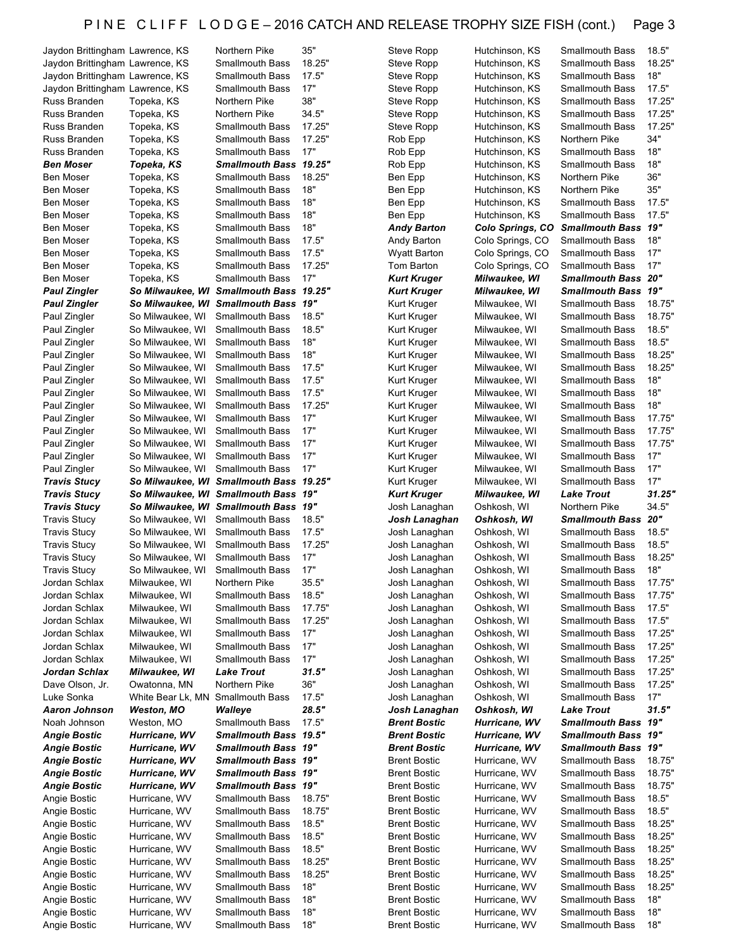| Jaydon Brittingham Lawrence, KS            |                                      | Northern Pike                                    | 35"           | Steve Ropp                                 | Hutchinson, KS                 | <b>Smallmouth Bass</b>                           | 18.5"            |
|--------------------------------------------|--------------------------------------|--------------------------------------------------|---------------|--------------------------------------------|--------------------------------|--------------------------------------------------|------------------|
| Jaydon Brittingham Lawrence, KS            |                                      | <b>Smallmouth Bass</b>                           | 18.25"        | Steve Ropp                                 | Hutchinson, KS                 | <b>Smallmouth Bass</b>                           | 18.25"           |
| Jaydon Brittingham Lawrence, KS            |                                      | <b>Smallmouth Bass</b>                           | 17.5"         | Steve Ropp                                 | Hutchinson, KS                 | <b>Smallmouth Bass</b>                           | 18"              |
| Jaydon Brittingham Lawrence, KS            |                                      | <b>Smallmouth Bass</b>                           | 17"           | Steve Ropp                                 | Hutchinson, KS                 | <b>Smallmouth Bass</b>                           | 17.5"            |
| Russ Branden                               | Topeka, KS                           | Northern Pike                                    | 38"           | Steve Ropp                                 | Hutchinson, KS                 | <b>Smallmouth Bass</b>                           | 17.25"           |
| Russ Branden                               | Topeka, KS                           | Northern Pike                                    | 34.5"         | Steve Ropp                                 | Hutchinson, KS                 | <b>Smallmouth Bass</b>                           | 17.25"           |
| Russ Branden                               | Topeka, KS                           | <b>Smallmouth Bass</b>                           | 17.25"        | Steve Ropp                                 | Hutchinson, KS                 | <b>Smallmouth Bass</b>                           | 17.25"           |
| Russ Branden                               | Topeka, KS                           | <b>Smallmouth Bass</b>                           | 17.25"        | Rob Epp                                    | Hutchinson, KS                 | Northern Pike                                    | 34"              |
| Russ Branden                               | Topeka, KS                           | <b>Smallmouth Bass</b>                           | 17"           | Rob Epp                                    | Hutchinson, KS                 | <b>Smallmouth Bass</b>                           | 18"              |
| <b>Ben Moser</b>                           | Topeka, KS                           | <b>Smallmouth Bass</b>                           | 19.25"        | Rob Epp                                    | Hutchinson, KS                 | <b>Smallmouth Bass</b>                           | 18"              |
| <b>Ben Moser</b>                           | Topeka, KS                           | <b>Smallmouth Bass</b>                           | 18.25"        | Ben Epp                                    | Hutchinson, KS                 | Northern Pike                                    | 36"              |
| <b>Ben Moser</b>                           | Topeka, KS                           | <b>Smallmouth Bass</b>                           | 18"           | Ben Epp                                    | Hutchinson, KS                 | Northern Pike                                    | 35"              |
| <b>Ben Moser</b>                           | Topeka, KS                           | <b>Smallmouth Bass</b>                           | 18"           | Ben Epp                                    | Hutchinson, KS                 | <b>Smallmouth Bass</b>                           | 17.5"            |
| <b>Ben Moser</b>                           | Topeka, KS                           | <b>Smallmouth Bass</b>                           | 18"           | Ben Epp                                    | Hutchinson, KS                 | <b>Smallmouth Bass</b>                           | 17.5"            |
| <b>Ben Moser</b>                           | Topeka, KS                           | <b>Smallmouth Bass</b>                           | 18"           | <b>Andy Barton</b>                         | Colo Springs, CO               | <b>Smallmouth Bass 19"</b>                       |                  |
| <b>Ben Moser</b>                           | Topeka, KS                           | <b>Smallmouth Bass</b>                           | 17.5"         | Andy Barton                                | Colo Springs, CO               | <b>Smallmouth Bass</b>                           | 18"              |
| <b>Ben Moser</b>                           | Topeka, KS                           | <b>Smallmouth Bass</b>                           | 17.5"         | Wyatt Barton                               | Colo Springs, CO               | <b>Smallmouth Bass</b>                           | 17"              |
| <b>Ben Moser</b>                           | Topeka, KS                           | <b>Smallmouth Bass</b>                           | 17.25"        | Tom Barton                                 | Colo Springs, CO               | <b>Smallmouth Bass</b>                           | 17"              |
| <b>Ben Moser</b>                           | Topeka, KS                           | <b>Smallmouth Bass</b>                           | 17"           | <b>Kurt Kruger</b>                         | Milwaukee, WI                  | <b>Smallmouth Bass 20"</b>                       |                  |
| <b>Paul Zingler</b>                        |                                      | So Milwaukee, WI Smallmouth Bass 19.25"          |               | <b>Kurt Kruger</b>                         | Milwaukee, WI                  | <b>Smallmouth Bass 19"</b>                       |                  |
| <b>Paul Zingler</b>                        | So Milwaukee, Wl                     | <b>Smallmouth Bass</b>                           | 19"           | Kurt Kruger                                | Milwaukee, WI                  | <b>Smallmouth Bass</b>                           | 18.75"           |
| Paul Zingler                               | So Milwaukee, WI                     | <b>Smallmouth Bass</b>                           | 18.5"         | Kurt Kruger                                | Milwaukee, WI                  | <b>Smallmouth Bass</b>                           | 18.75"           |
| Paul Zingler                               | So Milwaukee, WI                     | <b>Smallmouth Bass</b>                           | 18.5"         | Kurt Kruger                                | Milwaukee, WI                  | <b>Smallmouth Bass</b>                           | 18.5"            |
| Paul Zingler                               | So Milwaukee, WI                     | <b>Smallmouth Bass</b>                           | 18"           | Kurt Kruger                                | Milwaukee, WI                  | <b>Smallmouth Bass</b>                           | 18.5"            |
| Paul Zingler                               | So Milwaukee, WI                     | <b>Smallmouth Bass</b>                           | 18"           | Kurt Kruger                                | Milwaukee, WI                  | Smallmouth Bass                                  | 18.25"           |
| Paul Zingler                               | So Milwaukee, WI                     | <b>Smallmouth Bass</b>                           | 17.5"         | Kurt Kruger                                | Milwaukee, WI                  | <b>Smallmouth Bass</b>                           | 18.25"           |
| Paul Zingler                               | So Milwaukee, WI                     | <b>Smallmouth Bass</b>                           | 17.5"         | Kurt Kruger                                | Milwaukee, WI                  | <b>Smallmouth Bass</b>                           | 18"              |
| Paul Zingler                               | So Milwaukee, WI                     | <b>Smallmouth Bass</b>                           | 17.5"         | Kurt Kruger                                | Milwaukee, WI                  | <b>Smallmouth Bass</b>                           | 18"              |
| Paul Zingler                               | So Milwaukee, WI                     | <b>Smallmouth Bass</b>                           | 17.25"<br>17" | Kurt Kruger                                | Milwaukee, WI                  | <b>Smallmouth Bass</b>                           | 18"              |
| Paul Zingler                               | So Milwaukee, WI                     | <b>Smallmouth Bass</b>                           | 17"           | Kurt Kruger                                | Milwaukee, WI                  | <b>Smallmouth Bass</b>                           | 17.75"<br>17.75" |
| Paul Zingler                               | So Milwaukee, WI                     | <b>Smallmouth Bass</b><br><b>Smallmouth Bass</b> | 17"           | Kurt Kruger<br>Kurt Kruger                 | Milwaukee, WI                  | <b>Smallmouth Bass</b><br><b>Smallmouth Bass</b> | 17.75"           |
| Paul Zingler<br>Paul Zingler               | So Milwaukee, WI<br>So Milwaukee, WI | <b>Smallmouth Bass</b>                           | 17"           | Kurt Kruger                                | Milwaukee, WI<br>Milwaukee, WI | <b>Smallmouth Bass</b>                           | 17"              |
| Paul Zingler                               | So Milwaukee, WI                     | <b>Smallmouth Bass</b>                           | 17"           |                                            |                                | <b>Smallmouth Bass</b>                           | 17"              |
|                                            |                                      |                                                  |               | Kurt Kruger                                | Milwaukee, WI                  |                                                  |                  |
|                                            |                                      |                                                  |               |                                            |                                |                                                  |                  |
| <b>Travis Stucy</b>                        | So Milwaukee, WI                     | <b>Smallmouth Bass</b>                           | 19.25"        | Kurt Kruger                                | Milwaukee, WI                  | <b>Smallmouth Bass</b>                           | 17"              |
| <b>Travis Stucy</b>                        |                                      | So Milwaukee, WI Smallmouth Bass                 | 19"           | <b>Kurt Kruger</b>                         | Milwaukee, WI                  | <b>Lake Trout</b>                                | 31.25"           |
| <b>Travis Stucy</b>                        |                                      | So Milwaukee, WI Smallmouth Bass 19"             |               | Josh Lanaghan                              | Oshkosh, WI                    | Northern Pike                                    | 34.5"            |
| <b>Travis Stucy</b>                        | So Milwaukee, WI                     | <b>Smallmouth Bass</b>                           | 18.5"         | Josh Lanaghan                              | Oshkosh, Wl                    | <b>Smallmouth Bass</b>                           | 20"              |
| <b>Travis Stucy</b>                        | So Milwaukee, WI                     | <b>Smallmouth Bass</b><br><b>Smallmouth Bass</b> | 17.5"         | Josh Lanaghan                              | Oshkosh, WI                    | <b>Smallmouth Bass</b><br><b>Smallmouth Bass</b> | 18.5"<br>18.5"   |
| <b>Travis Stucy</b><br><b>Travis Stucy</b> | So Milwaukee, WI<br>So Milwaukee, WI | <b>Smallmouth Bass</b>                           | 17.25"<br>17" | Josh Lanaghan                              | Oshkosh, WI<br>Oshkosh, WI     | <b>Smallmouth Bass</b>                           | 18.25"           |
| <b>Travis Stucy</b>                        | So Milwaukee, WI                     | Smallmouth Bass                                  | 17"           | Josh Lanaghan<br>Josh Lanaghan             | Oshkosh, WI                    | Smallmouth Bass                                  |                  |
| Jordan Schlax                              | Milwaukee, WI                        | Northern Pike                                    | 35.5"         | Josh Lanaghan                              | Oshkosh, WI                    | <b>Smallmouth Bass</b>                           | 18"<br>17.75"    |
| Jordan Schlax                              | Milwaukee, WI                        | <b>Smallmouth Bass</b>                           | 18.5"         | Josh Lanaghan                              | Oshkosh, WI                    | <b>Smallmouth Bass</b>                           | 17.75"           |
| Jordan Schlax                              | Milwaukee, WI                        | <b>Smallmouth Bass</b>                           | 17.75"        | Josh Lanaghan                              | Oshkosh, WI                    | <b>Smallmouth Bass</b>                           | 17.5"            |
| Jordan Schlax                              | Milwaukee, WI                        | <b>Smallmouth Bass</b>                           | 17.25"        | Josh Lanaghan                              | Oshkosh, WI                    | <b>Smallmouth Bass</b>                           | 17.5"            |
| Jordan Schlax                              | Milwaukee, WI                        | Smallmouth Bass                                  | 17"           | Josh Lanaghan                              | Oshkosh, WI                    | <b>Smallmouth Bass</b>                           | 17.25"           |
| Jordan Schlax                              | Milwaukee, WI                        | <b>Smallmouth Bass</b>                           | 17"           | Josh Lanaghan                              | Oshkosh, WI                    | <b>Smallmouth Bass</b>                           | 17.25"           |
| Jordan Schlax                              | Milwaukee, WI                        | <b>Smallmouth Bass</b>                           | 17"           | Josh Lanaghan                              | Oshkosh, WI                    | <b>Smallmouth Bass</b>                           | 17.25"           |
| Jordan Schlax                              | Milwaukee, WI                        | <b>Lake Trout</b>                                | 31.5"         | Josh Lanaghan                              | Oshkosh, WI                    | <b>Smallmouth Bass</b>                           | 17.25"           |
| Dave Olson, Jr.                            | Owatonna, MN                         | Northern Pike                                    | 36"           | Josh Lanaghan                              | Oshkosh, WI                    | <b>Smallmouth Bass</b>                           | 17.25"           |
| Luke Sonka                                 | White Bear Lk, MN                    | <b>Smallmouth Bass</b>                           | 17.5"         | Josh Lanaghan                              | Oshkosh, WI                    | <b>Smallmouth Bass</b>                           | 17"              |
| Aaron Johnson                              | Weston, MO                           | Walleye                                          | 28.5"         | Josh Lanaghan                              | Oshkosh, WI                    | <b>Lake Trout</b>                                | 31.5"            |
| Noah Johnson                               | Weston, MO                           | Smallmouth Bass                                  | 17.5"         | <b>Brent Bostic</b>                        | Hurricane, WV                  | Smallmouth Bass 19"                              |                  |
| Angie Bostic                               | Hurricane, WV                        | Smallmouth Bass 19.5"                            |               | <b>Brent Bostic</b>                        | Hurricane, WV                  | <b>Smallmouth Bass 19"</b>                       |                  |
| Angie Bostic                               | Hurricane, WV                        | <b>Smallmouth Bass 19"</b>                       |               | <b>Brent Bostic</b>                        | Hurricane, WV                  | <b>Smallmouth Bass 19"</b>                       |                  |
| <b>Angie Bostic</b>                        | Hurricane, WV                        | Smallmouth Bass 19"                              |               | <b>Brent Bostic</b>                        | Hurricane, WV                  | <b>Smallmouth Bass</b>                           | 18.75"           |
| <b>Angie Bostic</b>                        | Hurricane, WV                        | <b>Smallmouth Bass 19"</b>                       |               | <b>Brent Bostic</b>                        | Hurricane, WV                  | <b>Smallmouth Bass</b>                           | 18.75"           |
| <b>Angie Bostic</b>                        | Hurricane, WV                        | Smallmouth Bass 19"                              |               | <b>Brent Bostic</b>                        | Hurricane, WV                  | <b>Smallmouth Bass</b>                           | 18.75"           |
| Angie Bostic                               | Hurricane, WV                        | <b>Smallmouth Bass</b>                           | 18.75"        | <b>Brent Bostic</b>                        | Hurricane, WV                  | <b>Smallmouth Bass</b>                           | 18.5"            |
| Angie Bostic                               | Hurricane, WV                        | <b>Smallmouth Bass</b>                           | 18.75"        | <b>Brent Bostic</b>                        | Hurricane, WV                  | <b>Smallmouth Bass</b>                           | 18.5"            |
| Angie Bostic                               | Hurricane, WV                        | <b>Smallmouth Bass</b>                           | 18.5"         | <b>Brent Bostic</b>                        | Hurricane, WV                  | <b>Smallmouth Bass</b>                           | 18.25"           |
| Angie Bostic                               | Hurricane, WV                        | <b>Smallmouth Bass</b>                           | 18.5"         | <b>Brent Bostic</b>                        | Hurricane, WV                  | <b>Smallmouth Bass</b>                           | 18.25"           |
| Angie Bostic                               | Hurricane, WV                        | Smallmouth Bass                                  | 18.5"         | <b>Brent Bostic</b>                        | Hurricane, WV                  | <b>Smallmouth Bass</b>                           | 18.25"           |
| Angie Bostic                               | Hurricane, WV                        | <b>Smallmouth Bass</b>                           | 18.25"        | <b>Brent Bostic</b>                        | Hurricane, WV                  | <b>Smallmouth Bass</b>                           | 18.25"           |
| Angie Bostic                               | Hurricane, WV                        | <b>Smallmouth Bass</b>                           | 18.25"        | <b>Brent Bostic</b>                        | Hurricane, WV                  | <b>Smallmouth Bass</b>                           | 18.25"           |
| Angie Bostic                               | Hurricane, WV                        | <b>Smallmouth Bass</b>                           | 18"           | <b>Brent Bostic</b>                        | Hurricane, WV                  | <b>Smallmouth Bass</b>                           | 18.25"           |
| Angie Bostic                               | Hurricane, WV                        | <b>Smallmouth Bass</b>                           | 18"           | <b>Brent Bostic</b>                        | Hurricane, WV                  | <b>Smallmouth Bass</b>                           | 18"              |
| Angie Bostic<br>Angie Bostic               | Hurricane, WV<br>Hurricane, WV       | <b>Smallmouth Bass</b><br><b>Smallmouth Bass</b> | 18"<br>18"    | <b>Brent Bostic</b><br><b>Brent Bostic</b> | Hurricane, WV<br>Hurricane, WV | <b>Smallmouth Bass</b><br><b>Smallmouth Bass</b> | 18"<br>18"       |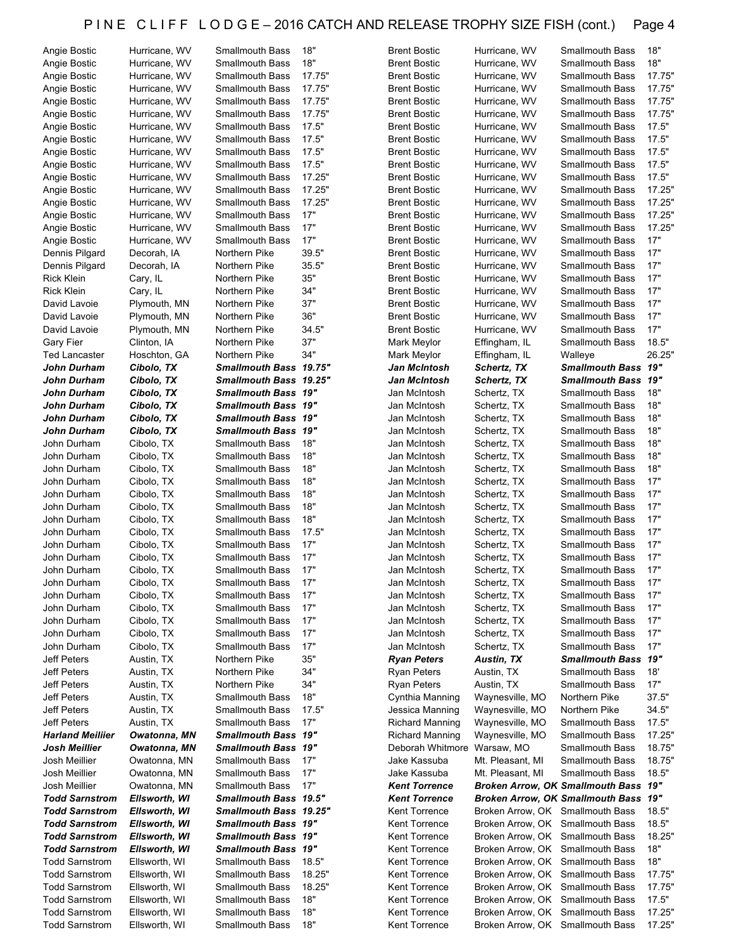| Angie Bostic            | Hurricane, WV | Smallmouth Bass              | 18"    | <b>Brent Bostic</b>         | Hurricane, WV                    | <b>Smallmouth Bass</b>                  | 18"    |
|-------------------------|---------------|------------------------------|--------|-----------------------------|----------------------------------|-----------------------------------------|--------|
| Angie Bostic            | Hurricane, WV | <b>Smallmouth Bass</b>       | 18"    | <b>Brent Bostic</b>         | Hurricane, WV                    | <b>Smallmouth Bass</b>                  | 18"    |
| Angie Bostic            | Hurricane, WV | <b>Smallmouth Bass</b>       | 17.75" | <b>Brent Bostic</b>         | Hurricane, WV                    | <b>Smallmouth Bass</b>                  | 17.75" |
| Angie Bostic            | Hurricane, WV | <b>Smallmouth Bass</b>       | 17.75" | <b>Brent Bostic</b>         | Hurricane, WV                    | <b>Smallmouth Bass</b>                  | 17.75" |
| Angie Bostic            | Hurricane, WV | <b>Smallmouth Bass</b>       | 17.75" | <b>Brent Bostic</b>         | Hurricane, WV                    | <b>Smallmouth Bass</b>                  | 17.75" |
|                         |               |                              | 17.75" |                             |                                  |                                         | 17.75" |
| Angie Bostic            | Hurricane, WV | <b>Smallmouth Bass</b>       |        | <b>Brent Bostic</b>         | Hurricane, WV                    | <b>Smallmouth Bass</b>                  |        |
| Angie Bostic            | Hurricane, WV | <b>Smallmouth Bass</b>       | 17.5"  | <b>Brent Bostic</b>         | Hurricane, WV                    | <b>Smallmouth Bass</b>                  | 17.5"  |
| Angie Bostic            | Hurricane, WV | <b>Smallmouth Bass</b>       | 17.5"  | <b>Brent Bostic</b>         | Hurricane, WV                    | <b>Smallmouth Bass</b>                  | 17.5"  |
| Angie Bostic            | Hurricane, WV | <b>Smallmouth Bass</b>       | 17.5"  | <b>Brent Bostic</b>         | Hurricane, WV                    | <b>Smallmouth Bass</b>                  | 17.5"  |
| Angie Bostic            | Hurricane, WV | <b>Smallmouth Bass</b>       | 17.5"  | <b>Brent Bostic</b>         | Hurricane, WV                    | <b>Smallmouth Bass</b>                  | 17.5"  |
| Angie Bostic            | Hurricane, WV | <b>Smallmouth Bass</b>       | 17.25" | <b>Brent Bostic</b>         | Hurricane, WV                    | <b>Smallmouth Bass</b>                  | 17.5"  |
| Angie Bostic            | Hurricane, WV | <b>Smallmouth Bass</b>       | 17.25" | <b>Brent Bostic</b>         | Hurricane, WV                    | <b>Smallmouth Bass</b>                  | 17.25" |
| Angie Bostic            | Hurricane, WV | <b>Smallmouth Bass</b>       | 17.25" | <b>Brent Bostic</b>         | Hurricane, WV                    | <b>Smallmouth Bass</b>                  | 17.25" |
|                         |               | <b>Smallmouth Bass</b>       |        |                             |                                  |                                         |        |
| Angie Bostic            | Hurricane, WV |                              | 17"    | <b>Brent Bostic</b>         | Hurricane, WV                    | <b>Smallmouth Bass</b>                  | 17.25" |
| Angie Bostic            | Hurricane, WV | <b>Smallmouth Bass</b>       | 17"    | <b>Brent Bostic</b>         | Hurricane, WV                    | <b>Smallmouth Bass</b>                  | 17.25" |
| Angie Bostic            | Hurricane, WV | <b>Smallmouth Bass</b>       | 17"    | <b>Brent Bostic</b>         | Hurricane, WV                    | <b>Smallmouth Bass</b>                  | 17"    |
| Dennis Pilgard          | Decorah, IA   | Northern Pike                | 39.5"  | <b>Brent Bostic</b>         | Hurricane, WV                    | <b>Smallmouth Bass</b>                  | 17"    |
| Dennis Pilgard          | Decorah, IA   | Northern Pike                | 35.5"  | <b>Brent Bostic</b>         | Hurricane, WV                    | <b>Smallmouth Bass</b>                  | 17"    |
| <b>Rick Klein</b>       | Cary, IL      | Northern Pike                | 35"    | <b>Brent Bostic</b>         | Hurricane, WV                    | <b>Smallmouth Bass</b>                  | 17"    |
| <b>Rick Klein</b>       | Cary, IL      | Northern Pike                | 34"    | <b>Brent Bostic</b>         | Hurricane, WV                    | <b>Smallmouth Bass</b>                  | 17"    |
| David Lavoie            | Plymouth, MN  | Northern Pike                | 37"    | <b>Brent Bostic</b>         | Hurricane, WV                    | <b>Smallmouth Bass</b>                  | 17"    |
|                         |               |                              | 36"    |                             |                                  |                                         | 17"    |
| David Lavoie            | Plymouth, MN  | Northern Pike                |        | <b>Brent Bostic</b>         | Hurricane, WV                    | <b>Smallmouth Bass</b>                  |        |
| David Lavoie            | Plymouth, MN  | Northern Pike                | 34.5"  | <b>Brent Bostic</b>         | Hurricane, WV                    | <b>Smallmouth Bass</b>                  | 17"    |
| <b>Gary Fier</b>        | Clinton, IA   | Northern Pike                | 37"    | Mark Meylor                 | Effingham, IL                    | <b>Smallmouth Bass</b>                  | 18.5"  |
| <b>Ted Lancaster</b>    | Hoschton, GA  | Northern Pike                | 34"    | Mark Meylor                 | Effingham, IL                    | Walleye                                 | 26.25" |
| John Durham             | Cibolo, TX    | Smallmouth Bass 19.75"       |        | Jan McIntosh                | Schertz, TX                      | Smallmouth Bass 19"                     |        |
| John Durham             | Cibolo, TX    | Smallmouth Bass 19.25"       |        | Jan McIntosh                | Schertz, TX                      | <b>Smallmouth Bass 19"</b>              |        |
| John Durham             | Cibolo, TX    | Smallmouth Bass 19"          |        | Jan McIntosh                | Schertz, TX                      | <b>Smallmouth Bass</b>                  | 18"    |
|                         | Cibolo, TX    | <b>Smallmouth Bass 19"</b>   |        | Jan McIntosh                | Schertz, TX                      | <b>Smallmouth Bass</b>                  | 18"    |
| John Durham             |               |                              |        |                             |                                  |                                         |        |
| John Durham             | Cibolo, TX    | <b>Smallmouth Bass 19"</b>   |        | Jan McIntosh                | Schertz, TX                      | <b>Smallmouth Bass</b>                  | 18"    |
| John Durham             | Cibolo, TX    | <b>Smallmouth Bass 19"</b>   |        | Jan McIntosh                | Schertz, TX                      | <b>Smallmouth Bass</b>                  | 18"    |
| John Durham             | Cibolo, TX    | <b>Smallmouth Bass</b>       | 18"    | Jan McIntosh                | Schertz, TX                      | <b>Smallmouth Bass</b>                  | 18"    |
| John Durham             | Cibolo, TX    | <b>Smallmouth Bass</b>       | 18"    | Jan McIntosh                | Schertz, TX                      | <b>Smallmouth Bass</b>                  | 18"    |
| John Durham             | Cibolo, TX    | <b>Smallmouth Bass</b>       | 18"    | Jan McIntosh                | Schertz, TX                      | <b>Smallmouth Bass</b>                  | 18"    |
| John Durham             | Cibolo, TX    | <b>Smallmouth Bass</b>       | 18"    | Jan McIntosh                | Schertz, TX                      | <b>Smallmouth Bass</b>                  | 17"    |
| John Durham             | Cibolo, TX    | <b>Smallmouth Bass</b>       | 18"    | Jan McIntosh                | Schertz, TX                      | <b>Smallmouth Bass</b>                  | 17"    |
|                         |               |                              | 18"    |                             |                                  |                                         | 17"    |
| John Durham             | Cibolo, TX    | <b>Smallmouth Bass</b>       |        | Jan McIntosh                | Schertz, TX                      | <b>Smallmouth Bass</b>                  |        |
| John Durham             | Cibolo, TX    | <b>Smallmouth Bass</b>       | 18"    | Jan McIntosh                | Schertz, TX                      | <b>Smallmouth Bass</b>                  | 17"    |
| John Durham             | Cibolo, TX    | <b>Smallmouth Bass</b>       | 17.5"  | Jan McIntosh                | Schertz, TX                      | <b>Smallmouth Bass</b>                  | 17"    |
| John Durham             | Cibolo, TX    | <b>Smallmouth Bass</b>       | 17"    | Jan McIntosh                | Schertz, TX                      | <b>Smallmouth Bass</b>                  | 17"    |
| John Durham             | Cibolo, TX    | <b>Smallmouth Bass</b>       | 17"    | Jan McIntosh                | Schertz, TX                      | <b>Smallmouth Bass</b>                  | 17"    |
| John Durham             | Cibolo, TX    | <b>Smallmouth Bass</b>       | 17"    | Jan McIntosh                | Schertz, TX                      | <b>Smallmouth Bass</b>                  | 17"    |
| John Durham             | Cibolo, TX    | Smallmouth Bass              | $17"$  | Jan McIntosh                | Schertz, TX                      | Smallmouth Bass                         | 17"    |
| John Durham             | Cibolo, TX    | Smallmouth Bass              | 17"    | Jan McIntosh                | Schertz, TX                      | <b>Smallmouth Bass</b>                  | 17"    |
|                         | Cibolo, TX    |                              | 17"    | Jan McIntosh                | Schertz, TX                      |                                         | 17"    |
| John Durham             |               | Smallmouth Bass              |        |                             |                                  | Smallmouth Bass                         |        |
| John Durham             | Cibolo, TX    | <b>Smallmouth Bass</b>       | 17"    | Jan McIntosh                | Schertz, TX                      | <b>Smallmouth Bass</b>                  | 17"    |
| John Durham             | Cibolo, TX    | <b>Smallmouth Bass</b>       | 17"    | Jan McIntosh                | Schertz, TX                      | <b>Smallmouth Bass</b>                  | 17"    |
| John Durham             | Cibolo, TX    | <b>Smallmouth Bass</b>       | 17"    | Jan McIntosh                | Schertz, TX                      | <b>Smallmouth Bass</b>                  | 17"    |
| Jeff Peters             | Austin, TX    | Northern Pike                | 35"    | <b>Ryan Peters</b>          | Austin, TX                       | <b>Smallmouth Bass 19"</b>              |        |
| Jeff Peters             | Austin, TX    | Northern Pike                | 34"    | <b>Ryan Peters</b>          | Austin, TX                       | <b>Smallmouth Bass</b>                  | 18'    |
| Jeff Peters             | Austin, TX    | Northern Pike                | 34"    | <b>Ryan Peters</b>          | Austin, TX                       | <b>Smallmouth Bass</b>                  | 17"    |
| Jeff Peters             | Austin, TX    | <b>Smallmouth Bass</b>       | 18"    | Cynthia Manning             | Waynesville, MO                  | Northern Pike                           | 37.5"  |
|                         |               |                              |        |                             | Waynesville, MO                  | Northern Pike                           |        |
| Jeff Peters             | Austin, TX    | <b>Smallmouth Bass</b>       | 17.5"  | Jessica Manning             |                                  |                                         | 34.5"  |
| Jeff Peters             | Austin, TX    | <b>Smallmouth Bass</b>       | 17"    | <b>Richard Manning</b>      | Waynesville, MO                  | <b>Smallmouth Bass</b>                  | 17.5"  |
| <b>Harland Meiliier</b> | Owatonna, MN  | Smallmouth Bass 19"          |        | <b>Richard Manning</b>      | Waynesville, MO                  | <b>Smallmouth Bass</b>                  | 17.25" |
| Josh Meillier           | Owatonna, MN  | <b>Smallmouth Bass 19"</b>   |        | Deborah Whitmore Warsaw, MO |                                  | Smallmouth Bass                         | 18.75" |
| Josh Meillier           | Owatonna, MN  | <b>Smallmouth Bass</b>       | 17"    | Jake Kassuba                | Mt. Pleasant, MI                 | <b>Smallmouth Bass</b>                  | 18.75" |
| Josh Meillier           | Owatonna, MN  | <b>Smallmouth Bass</b>       | 17"    | Jake Kassuba                | Mt. Pleasant, MI                 | <b>Smallmouth Bass</b>                  | 18.5"  |
| Josh Meillier           | Owatonna, MN  | <b>Smallmouth Bass</b>       | 17"    | <b>Kent Torrence</b>        |                                  | Broken Arrow, OK Smallmouth Bass 19"    |        |
|                         |               |                              |        |                             |                                  |                                         | 19"    |
| <b>Todd Sarnstrom</b>   | Ellsworth, WI | <b>Smallmouth Bass 19.5"</b> |        | <b>Kent Torrence</b>        |                                  | <b>Broken Arrow, OK Smallmouth Bass</b> |        |
| <b>Todd Sarnstrom</b>   | Ellsworth, WI | Smallmouth Bass 19.25"       |        | Kent Torrence               | Broken Arrow, OK Smallmouth Bass |                                         | 18.5"  |
| <b>Todd Sarnstrom</b>   | Ellsworth, WI | Smallmouth Bass 19"          |        | Kent Torrence               | Broken Arrow, OK Smallmouth Bass |                                         | 18.5"  |
| <b>Todd Sarnstrom</b>   | Ellsworth, WI | <b>Smallmouth Bass 19"</b>   |        | Kent Torrence               | Broken Arrow, OK Smallmouth Bass |                                         | 18.25" |
| <b>Todd Sarnstrom</b>   | Ellsworth, WI | <b>Smallmouth Bass 19"</b>   |        | Kent Torrence               | Broken Arrow, OK Smallmouth Bass |                                         | 18"    |
| <b>Todd Sarnstrom</b>   | Ellsworth, WI | <b>Smallmouth Bass</b>       | 18.5"  | Kent Torrence               | Broken Arrow, OK Smallmouth Bass |                                         | 18"    |
| <b>Todd Sarnstrom</b>   | Ellsworth, WI | <b>Smallmouth Bass</b>       | 18.25" | Kent Torrence               | Broken Arrow, OK Smallmouth Bass |                                         | 17.75" |
|                         |               |                              |        |                             |                                  |                                         |        |
| <b>Todd Sarnstrom</b>   | Ellsworth, WI | <b>Smallmouth Bass</b>       | 18.25" | Kent Torrence               | Broken Arrow, OK Smallmouth Bass |                                         | 17.75" |
| <b>Todd Sarnstrom</b>   |               |                              |        |                             |                                  |                                         | 17.5"  |
|                         | Ellsworth, WI | <b>Smallmouth Bass</b>       | 18"    | Kent Torrence               | Broken Arrow, OK Smallmouth Bass |                                         |        |
| <b>Todd Sarnstrom</b>   | Ellsworth, WI | <b>Smallmouth Bass</b>       | 18"    | Kent Torrence               | Broken Arrow, OK Smallmouth Bass |                                         | 17.25" |
| <b>Todd Sarnstrom</b>   | Ellsworth, WI | <b>Smallmouth Bass</b>       | 18"    | Kent Torrence               | Broken Arrow, OK Smallmouth Bass |                                         | 17.25" |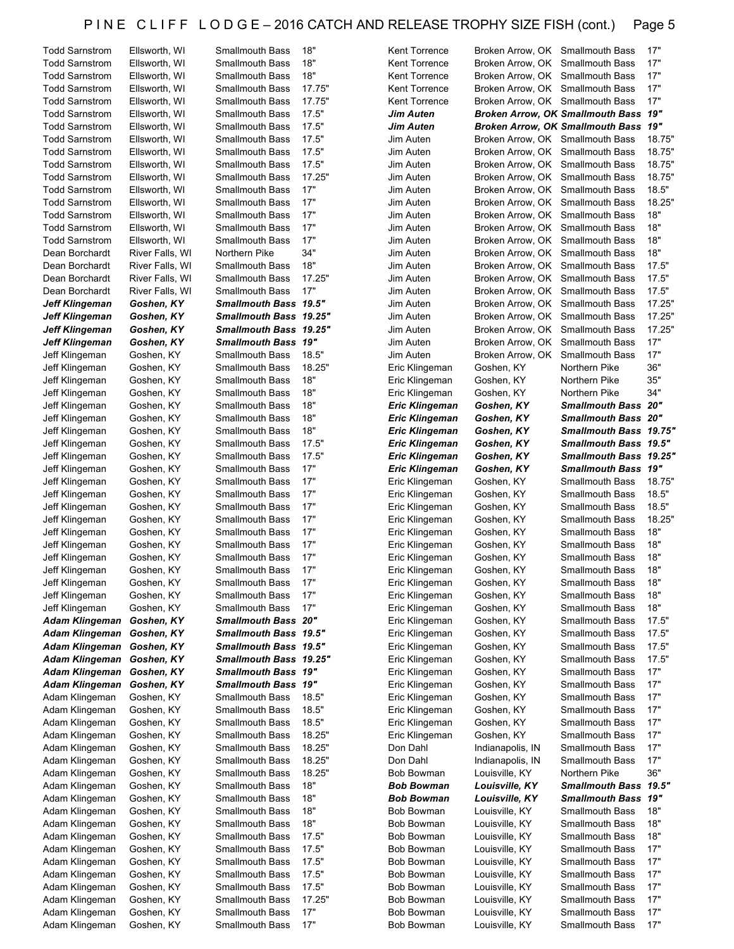| <b>Todd Sarnstrom</b> | Ellsworth, WI   | Smallmouth Bass            | 18"    | <b>Kent Torrence</b>  | Broken Arrow, OK Smallmouth Bass |                                      | 17"    |
|-----------------------|-----------------|----------------------------|--------|-----------------------|----------------------------------|--------------------------------------|--------|
| <b>Todd Sarnstrom</b> | Ellsworth, WI   | <b>Smallmouth Bass</b>     | 18"    | Kent Torrence         | Broken Arrow, OK Smallmouth Bass |                                      | 17"    |
| <b>Todd Sarnstrom</b> | Ellsworth, WI   | <b>Smallmouth Bass</b>     | 18"    | Kent Torrence         | Broken Arrow, OK Smallmouth Bass |                                      | 17"    |
| <b>Todd Sarnstrom</b> | Ellsworth, WI   | <b>Smallmouth Bass</b>     | 17.75" | Kent Torrence         | Broken Arrow, OK Smallmouth Bass |                                      | 17"    |
| <b>Todd Sarnstrom</b> | Ellsworth, WI   | <b>Smallmouth Bass</b>     | 17.75" | Kent Torrence         | Broken Arrow, OK Smallmouth Bass |                                      | 17"    |
| <b>Todd Sarnstrom</b> |                 | <b>Smallmouth Bass</b>     | 17.5"  |                       |                                  | Broken Arrow, OK Smallmouth Bass 19" |        |
|                       | Ellsworth, WI   |                            |        | Jim Auten             |                                  |                                      |        |
| <b>Todd Sarnstrom</b> | Ellsworth, WI   | <b>Smallmouth Bass</b>     | 17.5"  | Jim Auten             |                                  | Broken Arrow, OK Smallmouth Bass 19" |        |
| <b>Todd Sarnstrom</b> | Ellsworth, WI   | <b>Smallmouth Bass</b>     | 17.5"  | Jim Auten             | Broken Arrow, OK Smallmouth Bass |                                      | 18.75" |
| <b>Todd Sarnstrom</b> | Ellsworth, WI   | <b>Smallmouth Bass</b>     | 17.5"  | Jim Auten             | Broken Arrow, OK Smallmouth Bass |                                      | 18.75" |
| <b>Todd Sarnstrom</b> | Ellsworth, WI   | <b>Smallmouth Bass</b>     | 17.5"  | Jim Auten             | Broken Arrow, OK Smallmouth Bass |                                      | 18.75" |
| <b>Todd Sarnstrom</b> | Ellsworth, WI   | <b>Smallmouth Bass</b>     | 17.25" | Jim Auten             | Broken Arrow, OK Smallmouth Bass |                                      | 18.75" |
| <b>Todd Sarnstrom</b> | Ellsworth, WI   | <b>Smallmouth Bass</b>     | 17"    | Jim Auten             | Broken Arrow, OK Smallmouth Bass |                                      | 18.5"  |
| <b>Todd Sarnstrom</b> | Ellsworth, WI   | <b>Smallmouth Bass</b>     | 17"    | Jim Auten             | Broken Arrow, OK Smallmouth Bass |                                      | 18.25" |
| <b>Todd Sarnstrom</b> | Ellsworth, WI   | <b>Smallmouth Bass</b>     | 17"    | Jim Auten             | Broken Arrow, OK Smallmouth Bass |                                      | 18"    |
| <b>Todd Sarnstrom</b> | Ellsworth, WI   | <b>Smallmouth Bass</b>     | 17"    | Jim Auten             | Broken Arrow, OK Smallmouth Bass |                                      | 18"    |
| <b>Todd Sarnstrom</b> | Ellsworth, WI   | <b>Smallmouth Bass</b>     | 17"    | Jim Auten             | Broken Arrow, OK Smallmouth Bass |                                      | 18"    |
| Dean Borchardt        | River Falls, WI | Northern Pike              | 34"    | Jim Auten             | Broken Arrow, OK Smallmouth Bass |                                      | 18"    |
| Dean Borchardt        | River Falls, WI | <b>Smallmouth Bass</b>     | 18"    | Jim Auten             | Broken Arrow, OK Smallmouth Bass |                                      | 17.5"  |
| Dean Borchardt        | River Falls, WI | <b>Smallmouth Bass</b>     | 17.25" | Jim Auten             | Broken Arrow, OK Smallmouth Bass |                                      | 17.5"  |
| Dean Borchardt        | River Falls, WI | <b>Smallmouth Bass</b>     | 17"    | Jim Auten             | Broken Arrow, OK Smallmouth Bass |                                      | 17.5"  |
|                       |                 | Smallmouth Bass 19.5"      |        |                       |                                  |                                      | 17.25" |
| <b>Jeff Klingeman</b> | Goshen, KY      |                            |        | Jim Auten             | Broken Arrow, OK Smallmouth Bass | <b>Smallmouth Bass</b>               |        |
| Jeff Klingeman        | Goshen, KY      | Smallmouth Bass 19.25"     |        | Jim Auten             | Broken Arrow, OK                 |                                      | 17.25" |
| Jeff Klingeman        | Goshen, KY      | Smallmouth Bass 19.25"     |        | Jim Auten             | Broken Arrow, OK Smallmouth Bass |                                      | 17.25" |
| <b>Jeff Klingeman</b> | Goshen, KY      | <b>Smallmouth Bass 19"</b> |        | Jim Auten             | Broken Arrow, OK                 | <b>Smallmouth Bass</b>               | 17"    |
| Jeff Klingeman        | Goshen, KY      | <b>Smallmouth Bass</b>     | 18.5"  | Jim Auten             | Broken Arrow, OK Smallmouth Bass |                                      | 17"    |
| Jeff Klingeman        | Goshen, KY      | <b>Smallmouth Bass</b>     | 18.25" | Eric Klingeman        | Goshen, KY                       | Northern Pike                        | 36"    |
| Jeff Klingeman        | Goshen, KY      | <b>Smallmouth Bass</b>     | 18"    | Eric Klingeman        | Goshen, KY                       | Northern Pike                        | 35"    |
| Jeff Klingeman        | Goshen, KY      | <b>Smallmouth Bass</b>     | 18"    | Eric Klingeman        | Goshen, KY                       | Northern Pike                        | 34"    |
| Jeff Klingeman        | Goshen, KY      | <b>Smallmouth Bass</b>     | 18"    | <b>Eric Klingeman</b> | Goshen, KY                       | <b>Smallmouth Bass 20"</b>           |        |
| Jeff Klingeman        | Goshen, KY      | <b>Smallmouth Bass</b>     | 18"    | <b>Eric Klingeman</b> | Goshen, KY                       | <b>Smallmouth Bass 20"</b>           |        |
| Jeff Klingeman        | Goshen, KY      | <b>Smallmouth Bass</b>     | 18"    | <b>Eric Klingeman</b> | Goshen, KY                       | Smallmouth Bass 19.75"               |        |
| Jeff Klingeman        | Goshen, KY      | <b>Smallmouth Bass</b>     | 17.5"  | <b>Eric Klingeman</b> | Goshen, KY                       | Smallmouth Bass 19.5"                |        |
| Jeff Klingeman        | Goshen, KY      | <b>Smallmouth Bass</b>     | 17.5"  | Eric Klingeman        | Goshen, KY                       | Smallmouth Bass 19.25"               |        |
| Jeff Klingeman        | Goshen, KY      | <b>Smallmouth Bass</b>     | 17"    | <b>Eric Klingeman</b> | Goshen, KY                       | <b>Smallmouth Bass 19"</b>           |        |
|                       | Goshen, KY      | <b>Smallmouth Bass</b>     |        |                       |                                  |                                      | 18.75" |
|                       |                 |                            |        |                       |                                  |                                      |        |
| Jeff Klingeman        |                 |                            | 17"    | Eric Klingeman        | Goshen, KY                       | Smallmouth Bass                      |        |
| Jeff Klingeman        | Goshen, KY      | <b>Smallmouth Bass</b>     | 17"    | Eric Klingeman        | Goshen, KY                       | <b>Smallmouth Bass</b>               | 18.5"  |
| Jeff Klingeman        | Goshen, KY      | <b>Smallmouth Bass</b>     | 17"    | Eric Klingeman        | Goshen, KY                       | <b>Smallmouth Bass</b>               | 18.5"  |
| Jeff Klingeman        | Goshen, KY      | <b>Smallmouth Bass</b>     | 17"    | Eric Klingeman        | Goshen, KY                       | <b>Smallmouth Bass</b>               | 18.25" |
| Jeff Klingeman        | Goshen, KY      | <b>Smallmouth Bass</b>     | 17"    | Eric Klingeman        | Goshen, KY                       | <b>Smallmouth Bass</b>               | 18"    |
| Jeff Klingeman        | Goshen, KY      | <b>Smallmouth Bass</b>     | 17"    | Eric Klingeman        | Goshen, KY                       | <b>Smallmouth Bass</b>               | 18"    |
| Jeff Klingeman        | Goshen, KY      | <b>Smallmouth Bass</b>     | 17"    | Eric Klingeman        | Goshen, KY                       | <b>Smallmouth Bass</b>               | 18"    |
| Jeff Klingeman        | Goshen, KY      | <b>Smallmouth Bass</b>     | 17"    | Eric Klingeman        | Goshen, KY                       | <b>Smallmouth Bass</b>               | 18"    |
| Jeff Klingeman        | Goshen, KY      | Smallmouth Bass            | 17"    | Eric Klingeman        | Goshen, KY                       | Smallmouth Bass                      | 18"    |
| Jeff Klingeman        | Goshen, KY      | <b>Smallmouth Bass</b>     | 17"    | Eric Klingeman        | Goshen, KY                       | Smallmouth Bass                      | 18"    |
| Jeff Klingeman        | Goshen, KY      | <b>Smallmouth Bass</b>     | 17"    | Eric Klingeman        | Goshen, KY                       | Smallmouth Bass                      | 18"    |
| <b>Adam Klingeman</b> | Goshen, KY      | <b>Smallmouth Bass 20"</b> |        | Eric Klingeman        | Goshen, KY                       | <b>Smallmouth Bass</b>               | 17.5"  |
| Adam Klingeman        | Goshen, KY      | Smallmouth Bass 19.5"      |        | Eric Klingeman        | Goshen, KY                       | <b>Smallmouth Bass</b>               | 17.5"  |
| Adam Klingeman        | Goshen, KY      | Smallmouth Bass 19.5"      |        | Eric Klingeman        | Goshen, KY                       | <b>Smallmouth Bass</b>               | 17.5"  |
| <b>Adam Klingeman</b> | Goshen, KY      | Smallmouth Bass 19.25"     |        | Eric Klingeman        | Goshen, KY                       | <b>Smallmouth Bass</b>               | 17.5"  |
| <b>Adam Klingeman</b> | Goshen, KY      | <b>Smallmouth Bass 19"</b> |        | Eric Klingeman        | Goshen, KY                       | <b>Smallmouth Bass</b>               | 17"    |
| <b>Adam Klingeman</b> | Goshen, KY      | Smallmouth Bass 19"        |        | Eric Klingeman        | Goshen, KY                       | <b>Smallmouth Bass</b>               | 17"    |
| Adam Klingeman        | Goshen, KY      | <b>Smallmouth Bass</b>     | 18.5"  | Eric Klingeman        | Goshen, KY                       | <b>Smallmouth Bass</b>               | 17"    |
| Adam Klingeman        | Goshen, KY      | <b>Smallmouth Bass</b>     | 18.5"  | Eric Klingeman        | Goshen, KY                       | <b>Smallmouth Bass</b>               | 17"    |
| Adam Klingeman        | Goshen, KY      | <b>Smallmouth Bass</b>     | 18.5"  | Eric Klingeman        | Goshen, KY                       | <b>Smallmouth Bass</b>               | 17"    |
| Adam Klingeman        | Goshen, KY      | <b>Smallmouth Bass</b>     | 18.25" | Eric Klingeman        |                                  | <b>Smallmouth Bass</b>               | 17"    |
|                       |                 |                            |        |                       | Goshen, KY                       |                                      |        |
| Adam Klingeman        | Goshen, KY      | <b>Smallmouth Bass</b>     | 18.25" | Don Dahl              | Indianapolis, IN                 | <b>Smallmouth Bass</b>               | 17"    |
| Adam Klingeman        | Goshen, KY      | <b>Smallmouth Bass</b>     | 18.25" | Don Dahl              | Indianapolis, IN                 | <b>Smallmouth Bass</b>               | 17"    |
| Adam Klingeman        | Goshen, KY      | <b>Smallmouth Bass</b>     | 18.25" | <b>Bob Bowman</b>     | Louisville, KY                   | Northern Pike                        | 36"    |
| Adam Klingeman        | Goshen, KY      | Smallmouth Bass            | 18"    | Bob Bowman            | <b>Louisville, KY</b>            | Smallmouth Bass 19.5"                |        |
| Adam Klingeman        | Goshen, KY      | Smallmouth Bass            | 18"    | <b>Bob Bowman</b>     | Louisville, KY                   | <b>Smallmouth Bass 19"</b>           |        |
| Adam Klingeman        | Goshen, KY      | <b>Smallmouth Bass</b>     | 18"    | <b>Bob Bowman</b>     | Louisville, KY                   | <b>Smallmouth Bass</b>               | 18"    |
| Adam Klingeman        | Goshen, KY      | <b>Smallmouth Bass</b>     | 18"    | <b>Bob Bowman</b>     | Louisville, KY                   | <b>Smallmouth Bass</b>               | 18"    |
| Adam Klingeman        | Goshen, KY      | <b>Smallmouth Bass</b>     | 17.5"  | <b>Bob Bowman</b>     | Louisville, KY                   | <b>Smallmouth Bass</b>               | 18"    |
| Adam Klingeman        | Goshen, KY      | <b>Smallmouth Bass</b>     | 17.5"  | Bob Bowman            | Louisville, KY                   | <b>Smallmouth Bass</b>               | 17"    |
| Adam Klingeman        | Goshen, KY      | <b>Smallmouth Bass</b>     | 17.5"  | <b>Bob Bowman</b>     | Louisville, KY                   | <b>Smallmouth Bass</b>               | 17"    |
| Adam Klingeman        | Goshen, KY      | <b>Smallmouth Bass</b>     | 17.5"  | <b>Bob Bowman</b>     | Louisville, KY                   | <b>Smallmouth Bass</b>               | 17"    |
| Adam Klingeman        | Goshen, KY      | <b>Smallmouth Bass</b>     | 17.5"  | <b>Bob Bowman</b>     | Louisville, KY                   | <b>Smallmouth Bass</b>               | 17"    |
| Adam Klingeman        | Goshen, KY      | <b>Smallmouth Bass</b>     | 17.25" | <b>Bob Bowman</b>     | Louisville, KY                   | <b>Smallmouth Bass</b>               | 17"    |
| Adam Klingeman        | Goshen, KY      | <b>Smallmouth Bass</b>     | 17"    | <b>Bob Bowman</b>     | Louisville, KY                   | <b>Smallmouth Bass</b>               | 17"    |
| Adam Klingeman        | Goshen, KY      | <b>Smallmouth Bass</b>     | 17"    | <b>Bob Bowman</b>     | Louisville, KY                   | <b>Smallmouth Bass</b>               | 17"    |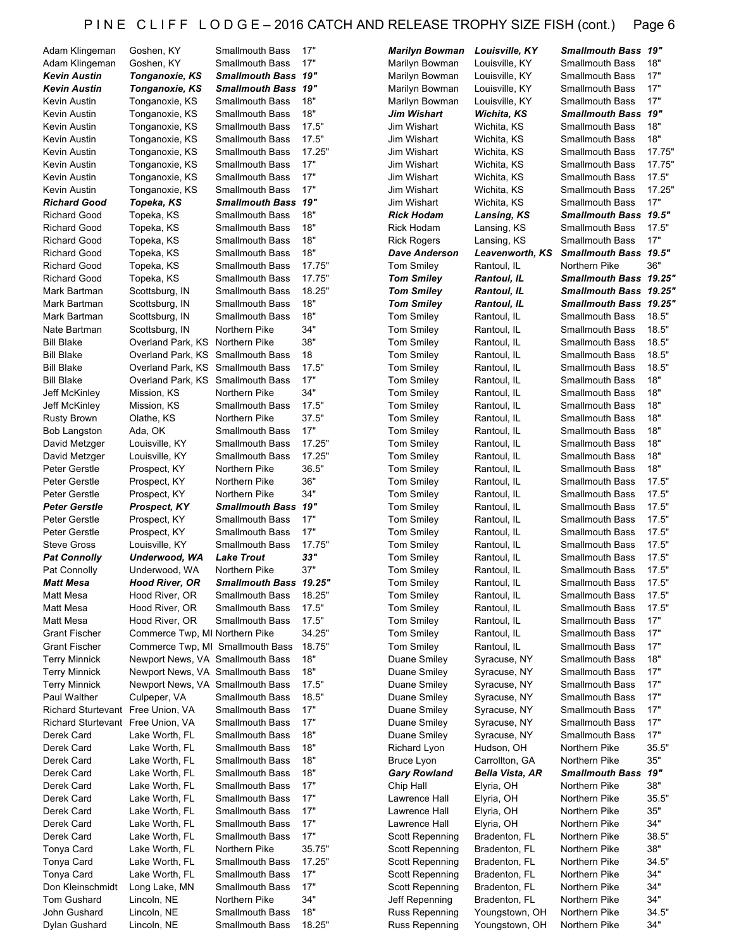| Adam Klingeman            |
|---------------------------|
|                           |
|                           |
| Adam Klingeman            |
| <b>Kevin Austin</b>       |
| <b>Kevin Austin</b>       |
|                           |
| Kevin Austin              |
| Kevin Austin              |
|                           |
| Kevin Austin              |
| Kevin Austin              |
|                           |
| Kevin Austin              |
| Kevin Austin              |
|                           |
| Kevin Austin              |
| Kevin Austin              |
| <b>Richard Good</b>       |
|                           |
| <b>Richard Good</b>       |
| <b>Richard Good</b>       |
|                           |
| <b>Richard Good</b>       |
| <b>Richard Good</b>       |
|                           |
| <b>Richard Good</b>       |
| Richard Good              |
|                           |
| Mark Bartman              |
| Mark Bartman              |
|                           |
| Mark Bartman              |
| Nate Bartman              |
|                           |
| <b>Bill Blake</b>         |
| <b>Bill Blake</b>         |
|                           |
| <b>Bill Blake</b>         |
| Bill Blake                |
|                           |
| Jeff McKinley             |
| Jeff McKinley             |
| Rusty Brown               |
|                           |
| <b>Bob Langston</b>       |
| David Metzger             |
|                           |
| David Metzger             |
| Peter Gerstle             |
|                           |
| Peter Gerstle             |
| Peter Gerstle             |
|                           |
| Peter Gerstle             |
| Peter Gerstle             |
| Peter Gerstle             |
|                           |
| <b>Steve Gross</b>        |
|                           |
|                           |
| <b>Pat Connolly</b>       |
|                           |
| Pat Connolly              |
| <b>Matt Mesa</b>          |
| Matt Mesa                 |
|                           |
| Matt Mesa                 |
| Matt Mesa                 |
|                           |
| <b>Grant Fischer</b>      |
| <b>Grant Fischer</b>      |
| <b>Terry Minnick</b>      |
|                           |
| <b>Terry Minnick</b>      |
| <b>Terry Minnick</b>      |
|                           |
| Paul Walther              |
| Richard Sturtevant        |
|                           |
| <b>Richard Sturtevant</b> |
| Derek Card                |
|                           |
| Derek Card                |
| Derek Card                |
| Derek Card                |
|                           |
| Derek Card                |
| Derek Card                |
|                           |
| Derek Card                |
| Derek Card                |
|                           |
| Derek Card                |
| Tonya Card                |
|                           |
| Tonya Card                |
| <b>Tonya Card</b>         |
|                           |
| Don Kleinschmidt          |
| Tom Gushard               |
| John Gushard              |

| Adam Klingeman                    | Goshen, KY                        | Smallmouth Bass            | 17"           | <b>Marilyn Bowman</b>  | Louisville, KY     | <b>Smallmouth Bass 19"</b>    |        |
|-----------------------------------|-----------------------------------|----------------------------|---------------|------------------------|--------------------|-------------------------------|--------|
| Adam Klingeman                    | Goshen, KY                        | <b>Smallmouth Bass</b>     | 17"           | Marilyn Bowman         | Louisville, KY     | <b>Smallmouth Bass</b>        | 18"    |
| Kevin Austin                      | Tonganoxie, KS                    | <b>Smallmouth Bass 19"</b> |               | Marilyn Bowman         | Louisville, KY     | <b>Smallmouth Bass</b>        | 17"    |
| Kevin Austin                      | Tonganoxie, KS                    | Smallmouth Bass 19"        |               | Marilyn Bowman         | Louisville, KY     | <b>Smallmouth Bass</b>        | 17"    |
| Kevin Austin                      | Tonganoxie, KS                    | Smallmouth Bass            | 18"           | Marilyn Bowman         | Louisville, KY     | <b>Smallmouth Bass</b>        | 17"    |
| Kevin Austin                      | Tonganoxie, KS                    | <b>Smallmouth Bass</b>     | 18"           | Jim Wishart            | Wichita, KS        | Smallmouth Bass 19"           |        |
| Kevin Austin                      | Tonganoxie, KS                    | <b>Smallmouth Bass</b>     | 17.5"         | Jim Wishart            | Wichita, KS        | <b>Smallmouth Bass</b>        | 18"    |
| Kevin Austin                      | Tonganoxie, KS                    | Smallmouth Bass            | 17.5"         | Jim Wishart            | Wichita, KS        | <b>Smallmouth Bass</b>        | 18"    |
| Kevin Austin                      | Tonganoxie, KS                    | Smallmouth Bass            | 17.25"        | Jim Wishart            | Wichita, KS        | <b>Smallmouth Bass</b>        | 17.75" |
| Kevin Austin                      | Tonganoxie, KS                    | Smallmouth Bass            | 17"           | Jim Wishart            | Wichita, KS        | <b>Smallmouth Bass</b>        | 17.75" |
|                                   |                                   |                            | 17"           |                        |                    | <b>Smallmouth Bass</b>        |        |
| Kevin Austin                      | Tonganoxie, KS                    | Smallmouth Bass            |               | Jim Wishart            | Wichita, KS        |                               | 17.5"  |
| Kevin Austin                      | Tonganoxie, KS                    | Smallmouth Bass            | 17"           | Jim Wishart            | Wichita, KS        | <b>Smallmouth Bass</b>        | 17.25" |
| Richard Good                      | Topeka, KS                        | <b>Smallmouth Bass 19"</b> |               | Jim Wishart            | Wichita, KS        | <b>Smallmouth Bass</b>        | 17"    |
| <b>Richard Good</b>               | Topeka, KS                        | Smallmouth Bass            | 18"           | <b>Rick Hodam</b>      | Lansing, KS        | Smallmouth Bass 19.5"         |        |
| Richard Good                      | Topeka, KS                        | Smallmouth Bass            | 18"           | Rick Hodam             | Lansing, KS        | <b>Smallmouth Bass</b>        | 17.5"  |
| Richard Good                      | Topeka, KS                        | Smallmouth Bass            | 18"           | <b>Rick Rogers</b>     | Lansing, KS        | <b>Smallmouth Bass</b>        | 17"    |
| Richard Good                      | Topeka, KS                        | Smallmouth Bass            | 18"           | <b>Dave Anderson</b>   | Leavenworth, KS    | Smallmouth Bass 19.5"         |        |
| Richard Good                      | Topeka, KS                        | Smallmouth Bass            | 17.75"        | <b>Tom Smiley</b>      | Rantoul, IL        | Northern Pike                 | 36"    |
| <b>Richard Good</b>               | Topeka, KS                        | <b>Smallmouth Bass</b>     | 17.75"        | <b>Tom Smiley</b>      | <b>Rantoul, IL</b> | Smallmouth Bass 19.25"        |        |
| Mark Bartman                      | Scottsburg, IN                    | Smallmouth Bass            | 18.25"        | <b>Tom Smiley</b>      | <b>Rantoul, IL</b> | <b>Smallmouth Bass 19.25"</b> |        |
| Mark Bartman                      | Scottsburg, IN                    | <b>Smallmouth Bass</b>     | 18"           | <b>Tom Smiley</b>      | <b>Rantoul, IL</b> | Smallmouth Bass 19.25"        |        |
| Mark Bartman                      | Scottsburg, IN                    | <b>Smallmouth Bass</b>     | 18"           | <b>Tom Smiley</b>      | Rantoul, IL        | <b>Smallmouth Bass</b>        | 18.5"  |
| Nate Bartman                      | Scottsburg, IN                    | Northern Pike              | 34"           | <b>Tom Smiley</b>      | Rantoul, IL        | <b>Smallmouth Bass</b>        | 18.5"  |
| <b>Bill Blake</b>                 | Overland Park, KS Northern Pike   |                            | 38"           | <b>Tom Smiley</b>      | Rantoul, IL        | <b>Smallmouth Bass</b>        | 18.5"  |
| Bill Blake                        | Overland Park, KS Smallmouth Bass |                            | 18            | <b>Tom Smiley</b>      | Rantoul, IL        | <b>Smallmouth Bass</b>        | 18.5"  |
| Bill Blake                        | Overland Park, KS Smallmouth Bass |                            | 17.5"         | <b>Tom Smiley</b>      | Rantoul, IL        | <b>Smallmouth Bass</b>        | 18.5"  |
| Bill Blake                        | Overland Park, KS Smallmouth Bass |                            | 17"           | <b>Tom Smiley</b>      | Rantoul, IL        | <b>Smallmouth Bass</b>        | 18"    |
| Jeff McKinley                     | Mission, KS                       | Northern Pike              | 34"           | <b>Tom Smiley</b>      | Rantoul, IL        | <b>Smallmouth Bass</b>        | 18"    |
| Jeff McKinley                     | Mission, KS                       | Smallmouth Bass            | 17.5"         | <b>Tom Smiley</b>      | Rantoul, IL        | <b>Smallmouth Bass</b>        | 18"    |
| Rusty Brown                       | Olathe, KS                        | Northern Pike              | 37.5"         | <b>Tom Smiley</b>      | Rantoul, IL        | <b>Smallmouth Bass</b>        | 18"    |
| <b>Bob Langston</b>               | Ada, OK                           | Smallmouth Bass            | 17"           | <b>Tom Smiley</b>      | Rantoul, IL        | <b>Smallmouth Bass</b>        | 18"    |
| David Metzger                     | Louisville, KY                    | Smallmouth Bass            | 17.25"        | <b>Tom Smiley</b>      | Rantoul, IL        | <b>Smallmouth Bass</b>        | 18"    |
| David Metzger                     | Louisville, KY                    | Smallmouth Bass            | 17.25"        | <b>Tom Smiley</b>      | Rantoul, IL        | <b>Smallmouth Bass</b>        | 18"    |
| Peter Gerstle                     | Prospect, KY                      | Northern Pike              | 36.5"         | <b>Tom Smiley</b>      | Rantoul, IL        | <b>Smallmouth Bass</b>        | 18"    |
| Peter Gerstle                     | Prospect, KY                      | Northern Pike              | 36"           | <b>Tom Smiley</b>      | Rantoul, IL        | <b>Smallmouth Bass</b>        | 17.5"  |
| Peter Gerstle                     | Prospect, KY                      | Northern Pike              | 34"           | <b>Tom Smiley</b>      | Rantoul, IL        | <b>Smallmouth Bass</b>        | 17.5"  |
| Peter Gerstle                     | Prospect, KY                      | <b>Smallmouth Bass 19"</b> |               | <b>Tom Smiley</b>      | Rantoul, IL        | <b>Smallmouth Bass</b>        | 17.5"  |
| Peter Gerstle                     | Prospect, KY                      | <b>Smallmouth Bass</b>     | 17"           | <b>Tom Smiley</b>      | Rantoul, IL        | <b>Smallmouth Bass</b>        | 17.5"  |
| Peter Gerstle                     | Prospect, KY                      | <b>Smallmouth Bass</b>     | 17"           | <b>Tom Smiley</b>      | Rantoul, IL        | <b>Smallmouth Bass</b>        | 17.5"  |
| Steve Gross                       | Louisville, KY                    | <b>Smallmouth Bass</b>     | 17.75"        | <b>Tom Smiley</b>      | Rantoul, IL        | <b>Smallmouth Bass</b>        | 17.5"  |
| Pat Connolly                      | Underwood, WA                     | <b>Lake Trout</b>          | 33"           | <b>Tom Smiley</b>      | Rantoul, IL        | <b>Smallmouth Bass</b>        | 17.5"  |
| Pat Connolly                      | Underwood, WA                     | Northern Pike              | 37"           | <b>Tom Smiley</b>      | Rantoul, IL        | <b>Smallmouth Bass</b>        | 17.5"  |
| Matt Mesa                         | Hood River, OR                    | Smallmouth Bass 19.25'     |               | <b>Tom Smiley</b>      | Rantoul, IL        | Smallmouth Bass               | 17.5"  |
| Matt Mesa                         | Hood River, OR                    | Smallmouth Bass            | 18.25"        | <b>Tom Smiley</b>      | Rantoul, IL        | <b>Smallmouth Bass</b>        | 17.5"  |
| Matt Mesa                         | Hood River, OR                    | Smallmouth Bass            | 17.5"         | <b>Tom Smiley</b>      | Rantoul, IL        | <b>Smallmouth Bass</b>        | 17.5"  |
| Matt Mesa                         | Hood River, OR                    | Smallmouth Bass            | 17.5"         | <b>Tom Smiley</b>      |                    | <b>Smallmouth Bass</b>        | 17"    |
| Grant Fischer                     | Commerce Twp, MI Northern Pike    |                            | 34.25"        | <b>Tom Smiley</b>      | Rantoul, IL        | <b>Smallmouth Bass</b>        | 17"    |
|                                   |                                   |                            |               |                        | Rantoul, IL        |                               |        |
| Grant Fischer                     | Commerce Twp, MI Smallmouth Bass  |                            | 18.75"<br>18" | <b>Tom Smiley</b>      | Rantoul, IL        | <b>Smallmouth Bass</b>        | 17"    |
| Terry Minnick                     | Newport News, VA Smallmouth Bass  |                            |               | Duane Smiley           | Syracuse, NY       | <b>Smallmouth Bass</b>        | 18"    |
| <b>Terry Minnick</b>              | Newport News, VA Smallmouth Bass  |                            | 18"           | Duane Smiley           | Syracuse, NY       | <b>Smallmouth Bass</b>        | 17"    |
| Terry Minnick                     | Newport News, VA Smallmouth Bass  |                            | 17.5"         | Duane Smiley           | Syracuse, NY       | <b>Smallmouth Bass</b>        | 17"    |
| Paul Walther                      | Culpeper, VA                      | Smallmouth Bass            | 18.5"         | Duane Smiley           | Syracuse, NY       | <b>Smallmouth Bass</b>        | 17"    |
| Richard Sturtevant Free Union, VA |                                   | <b>Smallmouth Bass</b>     | 17"           | Duane Smiley           | Syracuse, NY       | <b>Smallmouth Bass</b>        | 17"    |
| Richard Sturtevant Free Union, VA |                                   | <b>Smallmouth Bass</b>     | 17"           | <b>Duane Smiley</b>    | Syracuse, NY       | <b>Smallmouth Bass</b>        | 17"    |
| Derek Card                        | Lake Worth, FL                    | Smallmouth Bass            | 18"           | Duane Smiley           | Syracuse, NY       | <b>Smallmouth Bass</b>        | 17"    |
| Derek Card                        | Lake Worth, FL                    | <b>Smallmouth Bass</b>     | 18"           | Richard Lyon           | Hudson, OH         | Northern Pike                 | 35.5"  |
| Derek Card                        | Lake Worth, FL                    | <b>Smallmouth Bass</b>     | 18"           | Bruce Lyon             | Carrollton, GA     | Northern Pike                 | 35"    |
| Derek Card                        | Lake Worth, FL                    | <b>Smallmouth Bass</b>     | 18"           | <b>Gary Rowland</b>    | Bella Vista, AR    | <b>Smallmouth Bass</b>        | 19"    |
| Derek Card                        | Lake Worth, FL                    | Smallmouth Bass            | 17"           | Chip Hall              | Elyria, OH         | Northern Pike                 | 38"    |
| Derek Card                        | Lake Worth, FL                    | <b>Smallmouth Bass</b>     | 17"           | Lawrence Hall          | Elyria, OH         | Northern Pike                 | 35.5"  |
| Derek Card                        | Lake Worth, FL                    | <b>Smallmouth Bass</b>     | 17"           | Lawrence Hall          | Elyria, OH         | Northern Pike                 | 35"    |
| Derek Card                        | Lake Worth, FL                    | <b>Smallmouth Bass</b>     | 17"           | Lawrence Hall          | Elyria, OH         | Northern Pike                 | 34"    |
| Derek Card                        | Lake Worth, FL                    | Smallmouth Bass            | 17"           | <b>Scott Repenning</b> | Bradenton, FL      | Northern Pike                 | 38.5"  |
| Tonya Card                        | Lake Worth, FL                    | Northern Pike              | 35.75"        | Scott Repenning        | Bradenton, FL      | Northern Pike                 | 38"    |
| Tonya Card                        | Lake Worth, FL                    | Smallmouth Bass            | 17.25"        | <b>Scott Repenning</b> | Bradenton, FL      | Northern Pike                 | 34.5"  |
| Tonya Card                        | Lake Worth, FL                    | Smallmouth Bass            | 17"           | <b>Scott Repenning</b> | Bradenton, FL      | Northern Pike                 | 34"    |
| Don Kleinschmidt                  | Long Lake, MN                     | Smallmouth Bass            | 17"           | <b>Scott Repenning</b> | Bradenton, FL      | Northern Pike                 | 34"    |
| Tom Gushard                       | Lincoln, NE                       | Northern Pike              | 34"           | Jeff Repenning         | Bradenton, FL      | Northern Pike                 | 34"    |
| John Gushard                      | Lincoln, NE                       | Smallmouth Bass            | 18"           | Russ Repenning         | Youngstown, OH     | Northern Pike                 | 34.5"  |
| Dulon Cuchord                     | $line$ NE                         | Smollmouth Rocc            | 19 25"        | <b>Pucc Poponning</b>  | Voungetown OH      | Northorn Diko                 | 21"    |

| """""<br>,,,,,,,,    |            |
|----------------------|------------|
| Marilyn Bowman       | Loui       |
| Marilyn Bowman       | Loui       |
| Marilyn Bowman       | Loui       |
| Marilyn Bowman       | Loui       |
|                      |            |
| <b>Jim Wishart</b>   | <b>Wic</b> |
| Jim Wishart          | Wicł       |
| Jim Wishart          | Wicł       |
| Jim Wishart          | Wich       |
| Jim Wishart          | Wicł       |
| Jim Wishart          | Wich       |
| Jim Wishart          | Wich       |
| Jim Wishart          | Wich       |
|                      |            |
| <b>Rick Hodam</b>    | Lan:       |
| <b>Rick Hodam</b>    | Lans       |
| <b>Rick Rogers</b>   | Lans       |
| <b>Dave Anderson</b> | Lea        |
| Tom Smiley           | Rant       |
| <b>Tom Smiley</b>    | Ran        |
| <b>Tom Smiley</b>    | Ran        |
| <b>Tom Smiley</b>    | Ran        |
|                      |            |
| <b>Tom Smiley</b>    | Rant       |
| Tom Smiley           | Rant       |
| Tom Smiley           | Rant       |
| Tom Smiley           | Rant       |
| <b>Tom Smiley</b>    | Rant       |
| Tom Smiley           | Rant       |
| Tom Smiley           | Rant       |
| <b>Tom Smiley</b>    |            |
|                      | Rant       |
| <b>Tom Smiley</b>    | Rant       |
| Tom Smiley           | Rant       |
| Tom Smiley           | Rant       |
| Tom Smiley           | Rant       |
| Tom Smiley           | Rant       |
| Tom Smiley           | Rant       |
| <b>Tom Smiley</b>    | Rant       |
|                      |            |
| <b>Tom Smiley</b>    | Rant       |
| <b>Tom Smiley</b>    | Rant       |
| Tom Smiley           | Rant       |
| Tom Smiley           | Rant       |
| <b>Tom Smiley</b>    | Rant       |
| <b>Tom Smiley</b>    | Rant       |
| <b>Tom Smiley</b>    | Rant       |
| <b>Tom Smiley</b>    | Rant       |
|                      |            |
| <b>Tom Smiley</b>    | Rant       |
| <b>Tom Smiley</b>    | Rant       |
| <b>Tom Smiley</b>    | Rant       |
| Tom Smiley           | Rant       |
| Duane Smiley         | Syra       |
| Duane Smiley         | Syra       |
| Duane Smiley         | Syra       |
| Duane Smiley         | Syra       |
|                      |            |
| Duane Smiley         | Syra       |
| Duane Smiley         | Syra       |
| Duane Smiley         | Syra       |
| Richard Lyon         | Hud:       |
| <b>Bruce Lyon</b>    | Carr       |
| <b>Gary Rowland</b>  | Bell       |
| Chip Hall            | Elyri      |
| Lawrence Hall        | Elyri      |
|                      |            |
| Lawrence Hall        | Elyri      |
| Lawrence Hall        | Elyri      |
| Scott Repenning      | Brac       |
| Scott Repenning      | Brac       |
| Scott Repenning      | Brac       |
| Scott Repenning      | Brac       |
| Scott Repenning      | Brac       |
| Jeff Repenning       | Brac       |
|                      |            |
| Russ Repenning       | Your       |
| Russ Repenning       | You        |

| Adam Klingeman                    | Goshen, KY                        | <b>Smallmouth Bass</b>     | 17"    | <b>Marilyn Bowman</b> | Louisville, KY     | <b>Smallmouth Bass 19"</b> |      |
|-----------------------------------|-----------------------------------|----------------------------|--------|-----------------------|--------------------|----------------------------|------|
| Adam Klingeman                    | Goshen, KY                        | <b>Smallmouth Bass</b>     | 17"    | Marilyn Bowman        | Louisville, KY     | <b>Smallmouth Bass</b>     | 18"  |
| <b>Kevin Austin</b>               | Tonganoxie, KS                    | <b>Smallmouth Bass 19"</b> |        | Marilyn Bowman        | Louisville, KY     | <b>Smallmouth Bass</b>     | 17"  |
| <b>Kevin Austin</b>               | <b>Tonganoxie, KS</b>             | <b>Smallmouth Bass 19"</b> |        | Marilyn Bowman        | Louisville, KY     | <b>Smallmouth Bass</b>     | 17"  |
|                                   |                                   |                            |        |                       |                    |                            | 17"  |
| Kevin Austin                      | Tonganoxie, KS                    | <b>Smallmouth Bass</b>     | 18"    | Marilyn Bowman        | Louisville, KY     | <b>Smallmouth Bass</b>     |      |
| Kevin Austin                      | Tonganoxie, KS                    | <b>Smallmouth Bass</b>     | 18"    | Jim Wishart           | Wichita, KS        | Smallmouth Bass 19"        |      |
| Kevin Austin                      | Tonganoxie, KS                    | <b>Smallmouth Bass</b>     | 17.5"  | Jim Wishart           | Wichita, KS        | <b>Smallmouth Bass</b>     | 18"  |
| Kevin Austin                      | Tonganoxie, KS                    | <b>Smallmouth Bass</b>     | 17.5"  | Jim Wishart           | Wichita, KS        | <b>Smallmouth Bass</b>     | 18"  |
| Kevin Austin                      | Tonganoxie, KS                    | <b>Smallmouth Bass</b>     | 17.25" | Jim Wishart           | Wichita, KS        | <b>Smallmouth Bass</b>     | 17.  |
| Kevin Austin                      | Tonganoxie, KS                    | <b>Smallmouth Bass</b>     | 17"    | Jim Wishart           | Wichita, KS        | <b>Smallmouth Bass</b>     | 17.  |
| Kevin Austin                      | Tonganoxie, KS                    | <b>Smallmouth Bass</b>     | 17"    | Jim Wishart           | Wichita, KS        | <b>Smallmouth Bass</b>     | 17.5 |
| Kevin Austin                      | Tonganoxie, KS                    | <b>Smallmouth Bass</b>     | 17"    | Jim Wishart           | Wichita, KS        | <b>Smallmouth Bass</b>     | 17.2 |
| <b>Richard Good</b>               | Topeka, KS                        | Smallmouth Bass 19"        |        | Jim Wishart           | Wichita, KS        | <b>Smallmouth Bass</b>     | 17"  |
| <b>Richard Good</b>               |                                   | <b>Smallmouth Bass</b>     | 18"    | <b>Rick Hodam</b>     |                    | <b>Smallmouth Bass 19.</b> |      |
|                                   | Topeka, KS                        |                            |        |                       | Lansing, KS        |                            |      |
| <b>Richard Good</b>               | Topeka, KS                        | <b>Smallmouth Bass</b>     | 18"    | <b>Rick Hodam</b>     | Lansing, KS        | <b>Smallmouth Bass</b>     | 17.5 |
| <b>Richard Good</b>               | Topeka, KS                        | <b>Smallmouth Bass</b>     | 18"    | <b>Rick Rogers</b>    | Lansing, KS        | <b>Smallmouth Bass</b>     | 17"  |
| <b>Richard Good</b>               | Topeka, KS                        | <b>Smallmouth Bass</b>     | 18"    | <b>Dave Anderson</b>  | Leavenworth, KS    | Smallmouth Bass 19.        |      |
| <b>Richard Good</b>               | Topeka, KS                        | <b>Smallmouth Bass</b>     | 17.75" | <b>Tom Smiley</b>     | Rantoul, IL        | Northern Pike              | 36"  |
| <b>Richard Good</b>               | Topeka, KS                        | <b>Smallmouth Bass</b>     | 17.75" | <b>Tom Smiley</b>     | <b>Rantoul, IL</b> | Smallmouth Bass 19.        |      |
| Mark Bartman                      | Scottsburg, IN                    | <b>Smallmouth Bass</b>     | 18.25" | <b>Tom Smiley</b>     | <b>Rantoul, IL</b> | Smallmouth Bass 19.        |      |
| Mark Bartman                      | Scottsburg, IN                    | <b>Smallmouth Bass</b>     | 18"    | <b>Tom Smiley</b>     | Rantoul, IL        | Smallmouth Bass 19.        |      |
| Mark Bartman                      | Scottsburg, IN                    | <b>Smallmouth Bass</b>     | 18"    | <b>Tom Smiley</b>     | Rantoul, IL        | <b>Smallmouth Bass</b>     | 18.5 |
| Nate Bartman                      | Scottsburg, IN                    | Northern Pike              | 34"    | <b>Tom Smiley</b>     | Rantoul, IL        | <b>Smallmouth Bass</b>     | 18.5 |
|                                   |                                   |                            |        |                       |                    |                            |      |
| <b>Bill Blake</b>                 | Overland Park, KS                 | Northern Pike              | 38"    | <b>Tom Smiley</b>     | Rantoul, IL        | <b>Smallmouth Bass</b>     | 18.5 |
| <b>Bill Blake</b>                 | Overland Park, KS                 | <b>Smallmouth Bass</b>     | 18     | <b>Tom Smiley</b>     | Rantoul, IL        | <b>Smallmouth Bass</b>     | 18.5 |
| <b>Bill Blake</b>                 | Overland Park, KS Smallmouth Bass |                            | 17.5"  | <b>Tom Smiley</b>     | Rantoul, IL        | <b>Smallmouth Bass</b>     | 18.5 |
| <b>Bill Blake</b>                 | Overland Park, KS Smallmouth Bass |                            | 17"    | <b>Tom Smiley</b>     | Rantoul, IL        | <b>Smallmouth Bass</b>     | 18"  |
| Jeff McKinley                     | Mission, KS                       | Northern Pike              | 34"    | <b>Tom Smiley</b>     | Rantoul, IL        | <b>Smallmouth Bass</b>     | 18"  |
| Jeff McKinley                     | Mission, KS                       | <b>Smallmouth Bass</b>     | 17.5"  | <b>Tom Smiley</b>     | Rantoul, IL        | <b>Smallmouth Bass</b>     | 18"  |
| <b>Rusty Brown</b>                | Olathe, KS                        | Northern Pike              | 37.5"  | <b>Tom Smiley</b>     | Rantoul, IL        | <b>Smallmouth Bass</b>     | 18"  |
| <b>Bob Langston</b>               | Ada, OK                           | <b>Smallmouth Bass</b>     | 17"    | <b>Tom Smiley</b>     | Rantoul, IL        | <b>Smallmouth Bass</b>     | 18"  |
| David Metzger                     | Louisville, KY                    | <b>Smallmouth Bass</b>     | 17.25" | <b>Tom Smiley</b>     | Rantoul, IL        | <b>Smallmouth Bass</b>     | 18"  |
|                                   |                                   |                            |        |                       |                    |                            |      |
| David Metzger                     | Louisville, KY                    | <b>Smallmouth Bass</b>     | 17.25" | <b>Tom Smiley</b>     | Rantoul, IL        | <b>Smallmouth Bass</b>     | 18"  |
| Peter Gerstle                     | Prospect, KY                      | Northern Pike              | 36.5"  | <b>Tom Smiley</b>     | Rantoul, IL        | <b>Smallmouth Bass</b>     | 18"  |
| Peter Gerstle                     | Prospect, KY                      | Northern Pike              | 36"    | <b>Tom Smiley</b>     | Rantoul, IL        | <b>Smallmouth Bass</b>     | 17.5 |
| Peter Gerstle                     | Prospect, KY                      | Northern Pike              | 34"    | <b>Tom Smiley</b>     | Rantoul, IL        | <b>Smallmouth Bass</b>     | 17.5 |
| <b>Peter Gerstle</b>              | Prospect, KY                      | <b>Smallmouth Bass</b>     | 19"    | <b>Tom Smiley</b>     | Rantoul, IL        | <b>Smallmouth Bass</b>     | 17.5 |
| Peter Gerstle                     | Prospect, KY                      | <b>Smallmouth Bass</b>     | 17"    | <b>Tom Smiley</b>     | Rantoul, IL        | <b>Smallmouth Bass</b>     | 17.5 |
| Peter Gerstle                     | Prospect, KY                      | Smallmouth Bass            | 17"    | <b>Tom Smiley</b>     | Rantoul, IL        | <b>Smallmouth Bass</b>     | 17.5 |
| <b>Steve Gross</b>                | Louisville, KY                    | <b>Smallmouth Bass</b>     | 17.75" | <b>Tom Smiley</b>     | Rantoul, IL        | <b>Smallmouth Bass</b>     | 17.5 |
| <b>Pat Connolly</b>               | Underwood, WA                     | <b>Lake Trout</b>          | 33"    | <b>Tom Smiley</b>     | Rantoul, IL        | <b>Smallmouth Bass</b>     | 17.5 |
| Pat Connolly                      |                                   | Northern Pike              | 37"    |                       |                    |                            | 17.5 |
|                                   | Underwood, WA                     |                            |        | <b>Tom Smiley</b>     | Rantoul, IL        | <b>Smallmouth Bass</b>     |      |
| <b>Matt Mesa</b>                  | <b>Hood River, OR</b>             | <b>Smallmouth Bass</b>     | 19.25" | <b>Tom Smiley</b>     | Rantoul, IL        | Smallmouth Bass            | 17.5 |
| Matt Mesa                         | Hood River, OR                    | <b>Smallmouth Bass</b>     | 18.25" | <b>Tom Smiley</b>     | Rantoul, IL        | Smallmouth Bass            | 17.5 |
| Matt Mesa                         | Hood River, OR                    | <b>Smallmouth Bass</b>     | 17.5"  | <b>Tom Smiley</b>     | Rantoul, IL        | <b>Smallmouth Bass</b>     | 17.5 |
| Matt Mesa                         | Hood River, OR                    | <b>Smallmouth Bass</b>     | 17.5"  | <b>Tom Smiley</b>     | Rantoul, IL        | Smallmouth Bass            | 17"  |
| <b>Grant Fischer</b>              | Commerce Twp, MI Northern Pike    |                            | 34.25" | <b>Tom Smiley</b>     | Rantoul, IL        | <b>Smallmouth Bass</b>     | 17"  |
| <b>Grant Fischer</b>              | Commerce Twp, MI Smallmouth Bass  |                            | 18.75" | <b>Tom Smiley</b>     | Rantoul, IL        | <b>Smallmouth Bass</b>     | 17"  |
| <b>Terry Minnick</b>              | Newport News, VA Smallmouth Bass  |                            | 18"    | Duane Smiley          | Syracuse, NY       | <b>Smallmouth Bass</b>     | 18"  |
| <b>Terry Minnick</b>              | Newport News, VA Smallmouth Bass  |                            | 18"    | Duane Smiley          | Syracuse, NY       | <b>Smallmouth Bass</b>     | 17"  |
|                                   |                                   |                            |        |                       |                    |                            |      |
| <b>Terry Minnick</b>              | Newport News, VA Smallmouth Bass  |                            | 17.5"  | Duane Smiley          | Syracuse, NY       | <b>Smallmouth Bass</b>     | 17"  |
| Paul Walther                      | Culpeper, VA                      | <b>Smallmouth Bass</b>     | 18.5"  | Duane Smiley          | Syracuse, NY       | <b>Smallmouth Bass</b>     | 17"  |
| Richard Sturtevant Free Union, VA |                                   | <b>Smallmouth Bass</b>     | 17"    | <b>Duane Smiley</b>   | Syracuse, NY       | <b>Smallmouth Bass</b>     | 17"  |
| Richard Sturtevant Free Union, VA |                                   | <b>Smallmouth Bass</b>     | 17"    | Duane Smiley          | Syracuse, NY       | <b>Smallmouth Bass</b>     | 17"  |
| Derek Card                        | Lake Worth, FL                    | <b>Smallmouth Bass</b>     | 18"    | <b>Duane Smiley</b>   | Syracuse, NY       | <b>Smallmouth Bass</b>     | 17"  |
| Derek Card                        | Lake Worth, FL                    | <b>Smallmouth Bass</b>     | 18"    | <b>Richard Lyon</b>   | Hudson, OH         | Northern Pike              | 35.5 |
| Derek Card                        | Lake Worth, FL                    | <b>Smallmouth Bass</b>     | 18"    | Bruce Lyon            | Carrollton, GA     | Northern Pike              | 35"  |
| Derek Card                        | Lake Worth, FL                    | <b>Smallmouth Bass</b>     | 18"    | <b>Gary Rowland</b>   | Bella Vista, AR    | <b>Smallmouth Bass</b>     | 19"  |
|                                   |                                   |                            | 17"    |                       |                    |                            | 38"  |
| Derek Card                        | Lake Worth, FL                    | <b>Smallmouth Bass</b>     |        | Chip Hall             | Elyria, OH         | Northern Pike              |      |
| Derek Card                        | Lake Worth, FL                    | <b>Smallmouth Bass</b>     | 17"    | Lawrence Hall         | Elyria, OH         | Northern Pike              | 35.5 |
| Derek Card                        | Lake Worth, FL                    | <b>Smallmouth Bass</b>     | 17"    | Lawrence Hall         | Elyria, OH         | Northern Pike              | 35"  |
| Derek Card                        | Lake Worth, FL                    | <b>Smallmouth Bass</b>     | 17"    | Lawrence Hall         | Elyria, OH         | Northern Pike              | 34"  |
| Derek Card                        | Lake Worth, FL                    | <b>Smallmouth Bass</b>     | 17"    | Scott Repenning       | Bradenton, FL      | Northern Pike              | 38.  |
| Tonya Card                        | Lake Worth, FL                    | Northern Pike              | 35.75" | Scott Repenning       | Bradenton, FL      | Northern Pike              | 38"  |
| Tonya Card                        | Lake Worth, FL                    | <b>Smallmouth Bass</b>     | 17.25" | Scott Repenning       | Bradenton, FL      | Northern Pike              | 34.  |
| Tonya Card                        | Lake Worth, FL                    | <b>Smallmouth Bass</b>     | 17"    | Scott Repenning       | Bradenton, FL      | Northern Pike              | 34"  |
| Don Kleinschmidt                  | Long Lake, MN                     | <b>Smallmouth Bass</b>     | 17"    | Scott Repenning       | Bradenton, FL      | Northern Pike              | 34"  |
|                                   |                                   |                            |        |                       |                    |                            | 34"  |
| Tom Gushard                       | Lincoln, NE                       | Northern Pike              | 34"    | Jeff Repenning        | Bradenton, FL      | Northern Pike              |      |
| John Gushard                      | Lincoln, NE                       | <b>Smallmouth Bass</b>     | 18"    | <b>Russ Repenning</b> | Youngstown, OH     | Northern Pike              | 34.  |
| Dylan Gushard                     | Lincoln, NE                       | <b>Smallmouth Bass</b>     | 18.25" | Russ Repenning        | Youngstown, OH     | Northern Pike              | 34"  |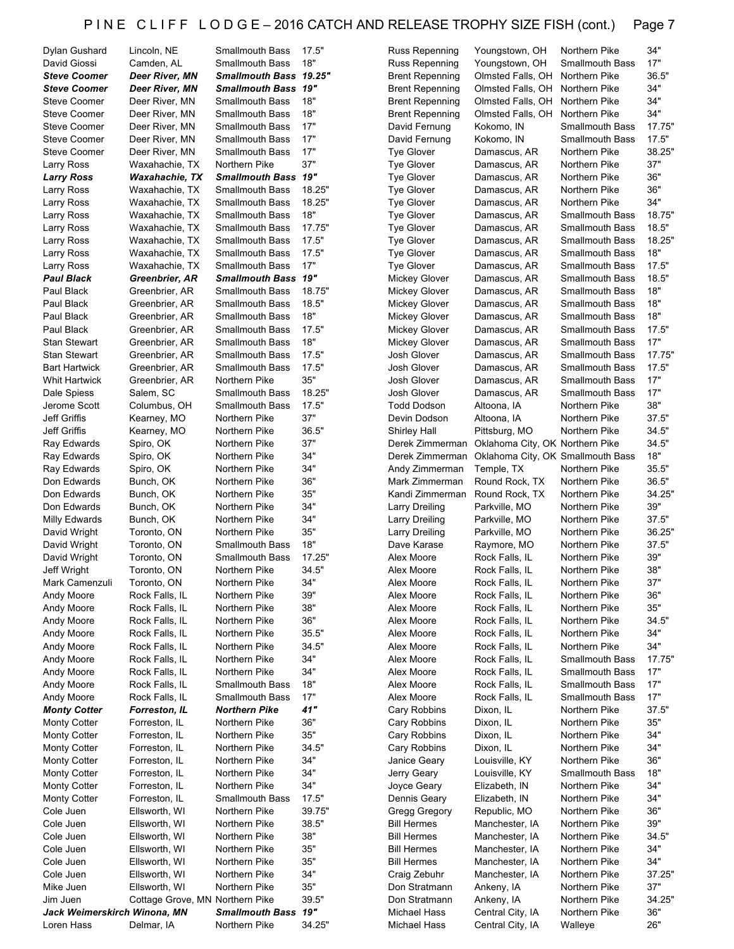| Dylan Gushard                | Lincoln, NE                     | Smallmouth Bass            | 17.5"  | <b>Russ Repenning</b>  | Youngstown, OH                    | Northern Pike          | 34"    |
|------------------------------|---------------------------------|----------------------------|--------|------------------------|-----------------------------------|------------------------|--------|
| David Giossi                 | Camden, AL                      | <b>Smallmouth Bass</b>     | 18"    | Russ Repenning         | Youngstown, OH                    | <b>Smallmouth Bass</b> | 17"    |
| <b>Steve Coomer</b>          | Deer River, MN                  | Smallmouth Bass 19.25"     |        | <b>Brent Repenning</b> | Olmsted Falls, OH                 | Northern Pike          | 36.5"  |
| <b>Steve Coomer</b>          | Deer River, MN                  | <b>Smallmouth Bass 19"</b> |        | <b>Brent Repenning</b> | Olmsted Falls, OH                 | Northern Pike          | 34"    |
| <b>Steve Coomer</b>          | Deer River, MN                  | <b>Smallmouth Bass</b>     | 18"    | <b>Brent Repenning</b> | Olmsted Falls, OH                 | Northern Pike          | 34"    |
| <b>Steve Coomer</b>          | Deer River, MN                  | <b>Smallmouth Bass</b>     | 18"    | <b>Brent Repenning</b> | Olmsted Falls, OH                 | Northern Pike          | 34"    |
| <b>Steve Coomer</b>          | Deer River, MN                  | <b>Smallmouth Bass</b>     | 17"    | David Fernung          | Kokomo, IN                        | <b>Smallmouth Bass</b> | 17.75" |
| <b>Steve Coomer</b>          | Deer River, MN                  | <b>Smallmouth Bass</b>     | 17"    | David Fernung          | Kokomo, IN                        | <b>Smallmouth Bass</b> | 17.5"  |
| <b>Steve Coomer</b>          | Deer River, MN                  | <b>Smallmouth Bass</b>     | 17"    | <b>Tye Glover</b>      | Damascus, AR                      | Northern Pike          | 38.25" |
| Larry Ross                   | Waxahachie, TX                  | Northern Pike              | 37"    | <b>Tye Glover</b>      | Damascus, AR                      | Northern Pike          | 37"    |
| <b>Larry Ross</b>            | Waxahachie, TX                  | <b>Smallmouth Bass 19"</b> |        | <b>Tye Glover</b>      | Damascus, AR                      | Northern Pike          | 36"    |
| Larry Ross                   | Waxahachie, TX                  | <b>Smallmouth Bass</b>     | 18.25" | <b>Tye Glover</b>      | Damascus, AR                      | Northern Pike          | 36"    |
| Larry Ross                   | Waxahachie, TX                  | <b>Smallmouth Bass</b>     | 18.25" | <b>Tye Glover</b>      | Damascus, AR                      | Northern Pike          | 34"    |
| Larry Ross                   | Waxahachie, TX                  | <b>Smallmouth Bass</b>     | 18"    | <b>Tye Glover</b>      | Damascus, AR                      | <b>Smallmouth Bass</b> | 18.75" |
| Larry Ross                   | Waxahachie, TX                  | <b>Smallmouth Bass</b>     | 17.75" | <b>Tye Glover</b>      | Damascus, AR                      | <b>Smallmouth Bass</b> | 18.5"  |
| Larry Ross                   | Waxahachie, TX                  | <b>Smallmouth Bass</b>     | 17.5"  | <b>Tye Glover</b>      | Damascus, AR                      | <b>Smallmouth Bass</b> | 18.25" |
| Larry Ross                   | Waxahachie, TX                  | <b>Smallmouth Bass</b>     | 17.5"  | <b>Tye Glover</b>      | Damascus, AR                      | <b>Smallmouth Bass</b> | 18"    |
| Larry Ross                   | Waxahachie, TX                  | <b>Smallmouth Bass</b>     | 17"    | Tye Glover             | Damascus, AR                      | <b>Smallmouth Bass</b> | 17.5"  |
| <b>Paul Black</b>            | Greenbrier, AR                  | <b>Smallmouth Bass 19"</b> |        | <b>Mickey Glover</b>   | Damascus, AR                      | <b>Smallmouth Bass</b> | 18.5"  |
| Paul Black                   | Greenbrier, AR                  | <b>Smallmouth Bass</b>     | 18.75" | <b>Mickey Glover</b>   | Damascus, AR                      | <b>Smallmouth Bass</b> | 18"    |
|                              |                                 |                            | 18.5"  |                        |                                   | <b>Smallmouth Bass</b> | 18"    |
| Paul Black                   | Greenbrier, AR                  | <b>Smallmouth Bass</b>     |        | <b>Mickey Glover</b>   | Damascus, AR                      |                        |        |
| Paul Black                   | Greenbrier, AR                  | <b>Smallmouth Bass</b>     | 18"    | <b>Mickey Glover</b>   | Damascus, AR                      | <b>Smallmouth Bass</b> | 18"    |
| Paul Black                   | Greenbrier, AR                  | <b>Smallmouth Bass</b>     | 17.5"  | <b>Mickey Glover</b>   | Damascus, AR                      | <b>Smallmouth Bass</b> | 17.5"  |
| <b>Stan Stewart</b>          | Greenbrier, AR                  | <b>Smallmouth Bass</b>     | 18"    | <b>Mickey Glover</b>   | Damascus, AR                      | <b>Smallmouth Bass</b> | 17"    |
| <b>Stan Stewart</b>          | Greenbrier, AR                  | <b>Smallmouth Bass</b>     | 17.5"  | Josh Glover            | Damascus, AR                      | <b>Smallmouth Bass</b> | 17.75" |
| <b>Bart Hartwick</b>         | Greenbrier, AR                  | <b>Smallmouth Bass</b>     | 17.5"  | Josh Glover            | Damascus, AR                      | <b>Smallmouth Bass</b> | 17.5"  |
| Whit Hartwick                | Greenbrier, AR                  | Northern Pike              | 35"    | Josh Glover            | Damascus, AR                      | <b>Smallmouth Bass</b> | 17"    |
| Dale Spiess                  | Salem, SC                       | <b>Smallmouth Bass</b>     | 18.25" | Josh Glover            | Damascus, AR                      | <b>Smallmouth Bass</b> | 17"    |
| Jerome Scott                 | Columbus, OH                    | <b>Smallmouth Bass</b>     | 17.5"  | <b>Todd Dodson</b>     | Altoona, IA                       | Northern Pike          | 38"    |
| Jeff Griffis                 | Kearney, MO                     | Northern Pike              | 37"    | Devin Dodson           | Altoona, IA                       | Northern Pike          | 37.5"  |
| <b>Jeff Griffis</b>          | Kearney, MO                     | Northern Pike              | 36.5"  | <b>Shirley Hall</b>    | Pittsburg, MO                     | Northern Pike          | 34.5"  |
| Ray Edwards                  | Spiro, OK                       | Northern Pike              | 37"    | Derek Zimmerman        | Oklahoma City, OK Northern Pike   |                        | 34.5"  |
| Ray Edwards                  | Spiro, OK                       | Northern Pike              | 34"    | Derek Zimmerman        | Oklahoma City, OK Smallmouth Bass |                        | 18"    |
| Ray Edwards                  | Spiro, OK                       | Northern Pike              | 34"    | Andy Zimmerman         | Temple, TX                        | Northern Pike          | 35.5"  |
| Don Edwards                  | Bunch, OK                       | Northern Pike              | 36"    | Mark Zimmerman         | Round Rock, TX                    | Northern Pike          | 36.5"  |
| Don Edwards                  | Bunch, OK                       | Northern Pike              | 35"    | Kandi Zimmerman        | Round Rock, TX                    | Northern Pike          | 34.25" |
| Don Edwards                  | Bunch, OK                       | Northern Pike              | 34"    | <b>Larry Dreiling</b>  | Parkville, MO                     | Northern Pike          | 39"    |
| Milly Edwards                | Bunch, OK                       | Northern Pike              | 34"    | Larry Dreiling         | Parkville, MO                     | Northern Pike          | 37.5"  |
| David Wright                 | Toronto, ON                     | Northern Pike              | 35"    | <b>Larry Dreiling</b>  | Parkville, MO                     | Northern Pike          | 36.25" |
| David Wright                 | Toronto, ON                     | <b>Smallmouth Bass</b>     | 18"    | Dave Karase            | Raymore, MO                       | Northern Pike          | 37.5"  |
| David Wright                 | Toronto, ON                     | <b>Smallmouth Bass</b>     | 17.25" | Alex Moore             | Rock Falls, IL                    | Northern Pike          | 39"    |
| Jeff Wright                  | Toronto, ON                     | Northern Pike              | 34.5"  | Alex Moore             | Rock Falls, IL                    | Northern Pike          | 38"    |
| Mark Camenzuli               | Toronto, ON                     | Northern Pike              | 34"    | Alex Moore             | Rock Falls, IL                    | Northern Pike          | 37"    |
| Andy Moore                   | Rock Falls, IL                  | Northern Pike              | 39"    | Alex Moore             | Rock Falls, IL                    | Northern Pike          | 36"    |
| Andy Moore                   | Rock Falls, IL                  | Northern Pike              | 38"    | Alex Moore             | Rock Falls, IL                    | Northern Pike          | 35"    |
| Andy Moore                   | Rock Falls, IL                  | Northern Pike              | 36"    | Alex Moore             | Rock Falls, IL                    | Northern Pike          | 34.5"  |
| Andy Moore                   | Rock Falls, IL                  | Northern Pike              | 35.5"  | Alex Moore             | Rock Falls, IL                    | Northern Pike          | 34"    |
| Andy Moore                   | Rock Falls, IL                  | Northern Pike              | 34.5"  | Alex Moore             | Rock Falls, IL                    | Northern Pike          | 34"    |
| Andy Moore                   | Rock Falls, IL                  | Northern Pike              | 34"    | Alex Moore             | Rock Falls, IL                    | <b>Smallmouth Bass</b> | 17.75" |
| Andy Moore                   | Rock Falls, IL                  | Northern Pike              | 34"    | Alex Moore             | Rock Falls, IL                    | <b>Smallmouth Bass</b> | 17"    |
| Andy Moore                   | Rock Falls, IL                  | <b>Smallmouth Bass</b>     | 18"    | Alex Moore             | Rock Falls, IL                    | <b>Smallmouth Bass</b> | 17"    |
|                              |                                 |                            | 17"    | Alex Moore             |                                   | <b>Smallmouth Bass</b> | 17"    |
| Andy Moore                   | Rock Falls, IL                  | Smallmouth Bass            |        |                        | Rock Falls, IL                    |                        |        |
| <b>Monty Cotter</b>          | Forreston, IL                   | <b>Northern Pike</b>       | 41"    | Cary Robbins           | Dixon, IL                         | Northern Pike          | 37.5"  |
| <b>Monty Cotter</b>          | Forreston, IL                   | Northern Pike              | 36"    | Cary Robbins           | Dixon, IL                         | Northern Pike          | 35"    |
| <b>Monty Cotter</b>          | Forreston, IL                   | Northern Pike              | 35"    | Cary Robbins           | Dixon, IL                         | Northern Pike          | 34"    |
| <b>Monty Cotter</b>          | Forreston, IL                   | Northern Pike              | 34.5"  | Cary Robbins           | Dixon, IL                         | Northern Pike          | 34"    |
| <b>Monty Cotter</b>          | Forreston, IL                   | Northern Pike              | 34"    | Janice Geary           | Louisville, KY                    | Northern Pike          | 36"    |
| <b>Monty Cotter</b>          | Forreston, IL                   | Northern Pike              | 34"    | Jerry Geary            | Louisville, KY                    | <b>Smallmouth Bass</b> | 18"    |
| <b>Monty Cotter</b>          | Forreston, IL                   | Northern Pike              | 34"    | Joyce Geary            | Elizabeth, IN                     | Northern Pike          | 34"    |
| <b>Monty Cotter</b>          | Forreston, IL                   | <b>Smallmouth Bass</b>     | 17.5"  | Dennis Geary           | Elizabeth, IN                     | Northern Pike          | 34"    |
| Cole Juen                    | Ellsworth, WI                   | Northern Pike              | 39.75" | Gregg Gregory          | Republic, MO                      | Northern Pike          | 36"    |
| Cole Juen                    | Ellsworth, WI                   | Northern Pike              | 38.5"  | <b>Bill Hermes</b>     | Manchester, IA                    | Northern Pike          | 39"    |
| Cole Juen                    | Ellsworth, WI                   | Northern Pike              | 38"    | <b>Bill Hermes</b>     | Manchester, IA                    | Northern Pike          | 34.5"  |
| Cole Juen                    | Ellsworth, WI                   | Northern Pike              | 35"    | <b>Bill Hermes</b>     | Manchester, IA                    | Northern Pike          | 34"    |
| Cole Juen                    | Ellsworth, WI                   | Northern Pike              | 35"    | <b>Bill Hermes</b>     | Manchester, IA                    | Northern Pike          | 34"    |
| Cole Juen                    | Ellsworth, WI                   | Northern Pike              | 34"    | Craig Zebuhr           | Manchester, IA                    | Northern Pike          | 37.25" |
| Mike Juen                    | Ellsworth, WI                   | Northern Pike              | 35"    | Don Stratmann          | Ankeny, IA                        | Northern Pike          | 37"    |
| Jim Juen                     | Cottage Grove, MN Northern Pike |                            | 39.5"  | Don Stratmann          | Ankeny, IA                        | Northern Pike          | 34.25" |
| Jack Weimerskirch Winona, MN |                                 | <b>Smallmouth Bass</b>     | 19"    | Michael Hass           | Central City, IA                  | Northern Pike          | 36"    |
| Loren Hass                   | Delmar, IA                      | Northern Pike              | 34.25" | Michael Hass           | Central City, IA                  | Walleye                | 26"    |
|                              |                                 |                            |        |                        |                                   |                        |        |